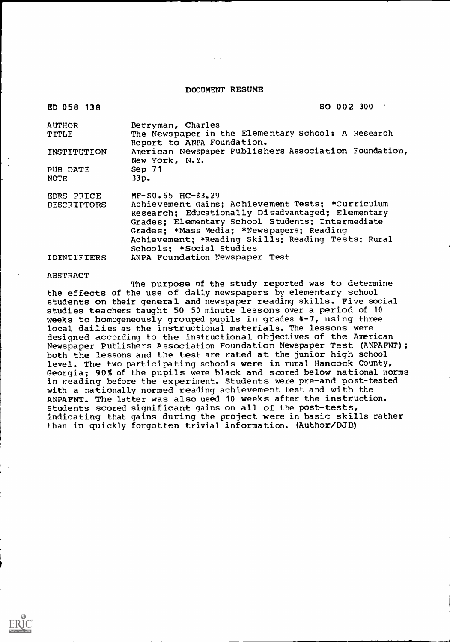#### DOCUMENT RESUME

| ED 058 138         | SO 002 300                                                                                                                                                                                                                                                                                |
|--------------------|-------------------------------------------------------------------------------------------------------------------------------------------------------------------------------------------------------------------------------------------------------------------------------------------|
| <b>AUTHOR</b>      | Berryman, Charles                                                                                                                                                                                                                                                                         |
| <b>TITLE</b>       | The Newspaper in the Elementary School: A Research<br>Report to ANPA Foundation.                                                                                                                                                                                                          |
| INSTITUTION        | American Newspaper Publishers Association Foundation,<br>New York, N.Y.                                                                                                                                                                                                                   |
| PUB DATE           | Sep 71                                                                                                                                                                                                                                                                                    |
| <b>NOTE</b>        | 33p <sub>•</sub>                                                                                                                                                                                                                                                                          |
| EDRS PRICE         | $MF-$0.65$ HC-\$3.29                                                                                                                                                                                                                                                                      |
| <b>DESCRIPTORS</b> | Achievement Gains; Achievement Tests; *Curriculum<br>Research; Educationally Disadvantaged; Elementary<br>Grades; Elementary School Students; Intermediate<br>Grades: *Mass Media; *Newspapers: Reading<br>Achievement: *Reading Skills: Reading Tests: Rural<br>Schools; *Social Studies |
| IDENTIFIERS        | ANPA Foundation Newspaper Test                                                                                                                                                                                                                                                            |

#### ABSTRACT

The purpose of the study reported was to determine the effects of the use of daily newspapers by elementary school students on their general and newspaper reading skills. Five social studies teachers taught 50 50 minute lessons over a period of 10 weeks to homogeneously grouped pupils in grades 4-7, using three local dailies as the instructional materials. The lessons were designed according to the instructional objectives of the American Newspaper Publishers Association Foundation Newspaper Test (ANPAFNT); both the lessons and the test are rated at the junior high school level. The two participating schools were in rural Hancock County, Georgia; 90% of the pupils were black and scored below national norms in reading before the experiment. Students were pre-and post-tested with a nationally normed reading achievement test and with the ANPAFNT. The latter was also used 10 weeks after the instruction. Students scored significant gains on all of the post-tests, indicating that gains during the project were in basic skills rather than in quickly forgotten trivial information. (Author/DJB)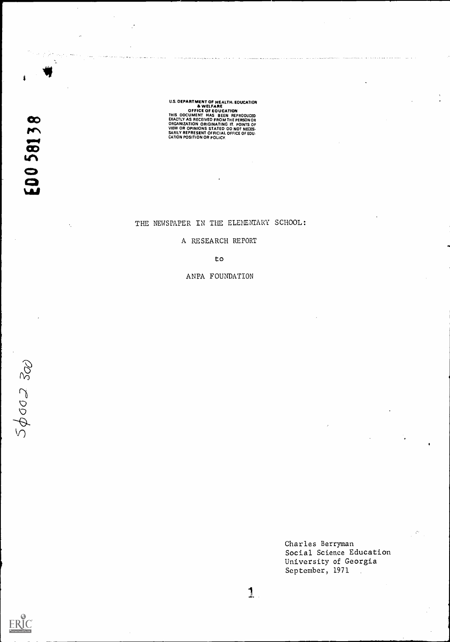U.S. OEPARTMENT OF HEALTH, EQUICATION<br>
A WELFARE<br>
OFFICE OF EQUICATION<br>
THIS ODCUMENT HAS BEEN REPRODUCED<br>
EXACTLY AS RECEIVED FROM THE PERSON OR<br>
ORGANIZATION ORIGINATING IT, POINTS OF<br>
VIEW OR OPINIONS STATED OO NOT NECE

THE NEWSPAPER IN THE ELEMENTARY SCHOOL:

A RESEARCH REPORT

to

ANPA FOUNDATION

 $5602300$ 

ERIC

Charles Berryman Social Science Education University of Georgia September, 1971 $\ddot{\phantom{a}}$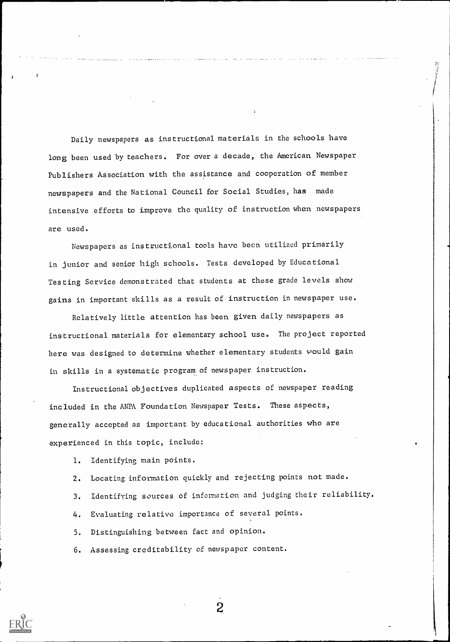Daily newspapers as instructional materials in the schools have long been used by teachers. For over a decade, the American Newspaper Publishers Association with the assistance and cooperation of member newspapers and the National Council for Social Studies, has made intensive efforts to improve the quality of instruction when newspapers are used.

Newspapers as instructional tools have been utilized primarily in junior and senior high schools. Tests developed by Educational Testing Service demonstrated that students at these grade levels show gains in important skills as a result of instruction in newspaper use.

Relatively little attention has been given daily newspapers as instructional materials for elementary school use. The project reported here was designed to determine whether elementary students would gain in skills in a systematic program of newspaper instruction.

Instructional objectives duplicated aspects of newspaper reading included in the ANPA Foundation Newspaper Tests. These aspects, generally accepted as important by educational authorities who are experienced in this topic, include:

1. Identifying main points.

2. Locating information quickly and rejecting points not made.

3. Identifying sources of information and judging their reliability.

4. Evaluating relative importance of several points.

5. Distinguishing between fact and opinion.

6. Assessing creditability of newspaper content.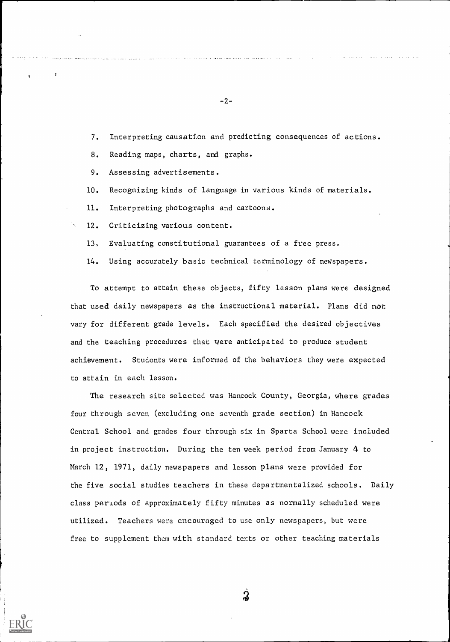7. Interpreting causation and predicting consequences of actions.

 $-2-$ 

8. Reading maps, charts, and graphs.

9. Assessing advertisements.

10. Recognizing kinds of language in various kinds of materials.

11. Interpreting photographs and cartoons.

12. Criticizing various content.

13, Evaluating constitutional guarantees of a free press.

14. Using accurately basic technical terminology of newspapers.

To attempt to attain these objects, fifty lesson plans were designed that used daily newspapers as the instructional material. Plans did not vary for different grade levels. Each specified the desired objectives and the teaching procedures that were anticipated to produce student achievement. Students were informed of the behaviors they were expected to attain in each lesson.

The research site selected was Hancock County, Georgia, where grades four through seven (excluding one seventh grade section) in Hancock Central School and grades four through six in Sparta School were included in project instruction. During the ten week period from January 4 to March 12, 1971, daily newspapers and lesson plans were provided for the five social studies teachers in these departmentalized schools. Daily class periods of approximately fifty minutes as normally scheduled were utilized. Teachers were encouraged to use only newspapers, but were free to supplement them with standard texts or other teaching materials

္က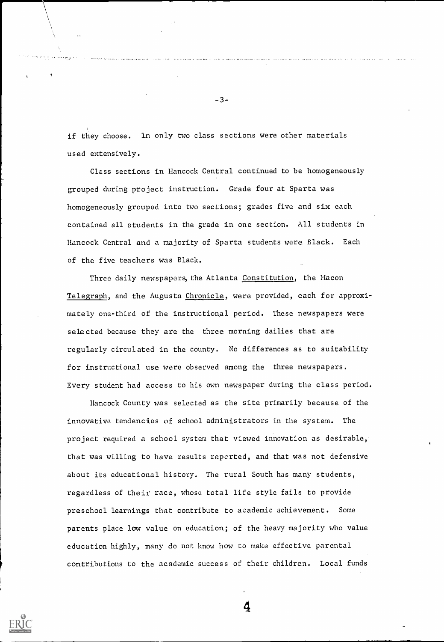if they choose. ln only two class sections were other materials used extensively.

. . . . . . . . . . . .

-3-

Class sections in Hancock Central continued to be homogeneously grouped during project instruction. Grade four at Sparta was homogeneously grouped into two sections; grades five and six each contained all students in the grade in one section. All students in Hancock Central and a majority of Sparta students were Black. Each of the five teachers was Black.

Three daily newspapers, the Atlanta Constitution, the Macon Telegraph, and the Augusta Chronicle, were provided, each for approximately one-third of the instructional period. These newspapers were selected because they are the three morning dailies that are regularly circulated in the county. No differences as to suitability for instructional use were observed among the three newspapers. Every student had access to his awn newspaper during the class period.

Hancock County was selected as the site primarily because of the innovative tendencies of school administrators in the system. The project required a school system that viewed innovation as desirable, that was willing to have results reported, and that was not defensive about its educational history. The rural South has many students, regardless of their race, whose total life style fails to provide preschool learnings that contribute to academic achievement. Some parents place low value on education; of the heavy majority who value education highly, many do not know how to make effective parental contributions to the academic success of their children. Local funds

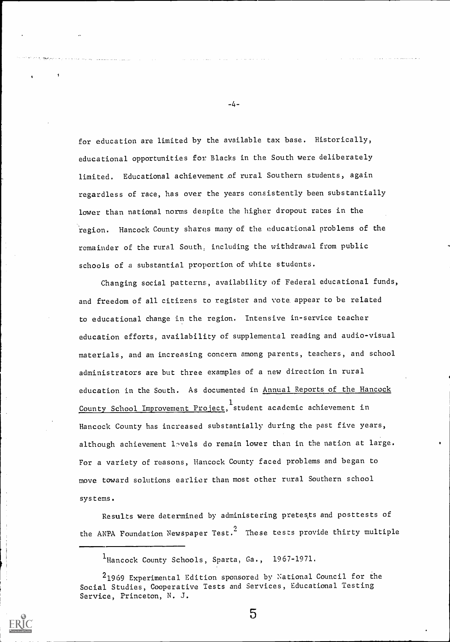for education are limited by the available tax base. Historically, educational opportunities for Blacks in the South were deliberately limited. Educational achievement of rural Southern students, again regardless of race, has over the years consistently been substantially lower than national norms despite the higher dropout rates in the region. Hancock County shares many of the educational problems of the remainder of the rural South, including the withdrawal from public schools of a substantial proportion of white students.

Changing social patterns, availability of Federal educational funds, and freedom of all citizens to register and vote appear to be related to educational change in the region. Intensive in-service teacher education efforts, availability of supplemental reading and audio-visual materials, and an increasing concern among parents, teachers, and school administrators are but three examples of a new direction in rural education in the South. As documented in Annual Reports of the Hancock County School Improvement Project, student academic achievement in Hancock County has increased substantially during the past five years, although achievement lavels do remain lower than in the nation at large. For a variety of reasons, Hancock County faced problems and began to move toward solutions earlier than most other rural Southern school systems.

Results were determined by administering pretes,ts and posttests of the ANPA Foundation Newspaper Test.<sup>2</sup> These tests provide thirty multiple

1Hancock County Schools, Sparta, Ga., 1967-1971.

-4-

 $\overline{5}$ 

<sup>21969</sup> Experimental Edition sponsored by National Council for the Social Studies, Cooperative Tests and Services, Educational Testing Service, Princeton, N. J.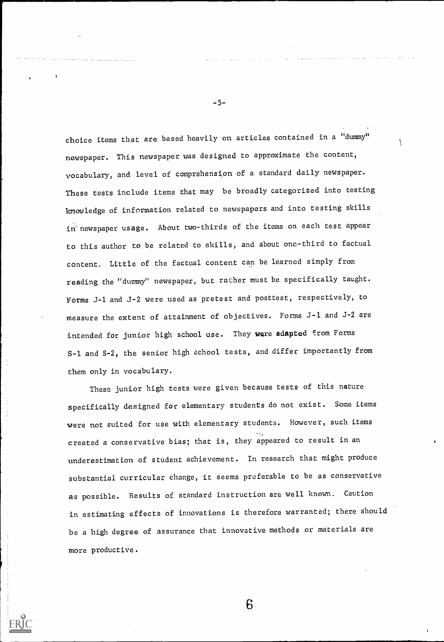choice items that are based heavily on articles contained in a "dummy" newspaper. This newspaper was designed to approximate the content, vocabulary, and level of comprehension of a standard daily newspaper. These tests include items that may be broadly categorized into testing knowledge of information related to newspapers and into testing skills in newspaper usage. About two-thirds of the items on each test appear to this author to be related to skills, and about one-third to factual content. Little of the factual content can be learned simply from reading the "dummy" newspaper, but rather must be specifically taught. Forms J-1 and J-2 were used as pretest and posttest, respectively, to measure the extent of attainment of objectives. Forms J-1 and J-2 are intended for junior high school use. They were adapted from Forms S-1 and S-2, the senior high school tests, and differ importantly from them only in vocabulary.

These junior high tests were given because tests of this nature specifically designed for elementary students do not exist. Some items were not suited for use with elementary students. However, such items created a conservative bias; that is, they appeared to result in an underestimation of student achievement. In research that might produce substantial curricular change, it seems preferable to be as conservative as possible. Results of standard instruction are well known. Caution in estimating effects of innovations is therefore warranted; there should be a high degree of assurance that innovative methods or materials are more productive.

6

-5-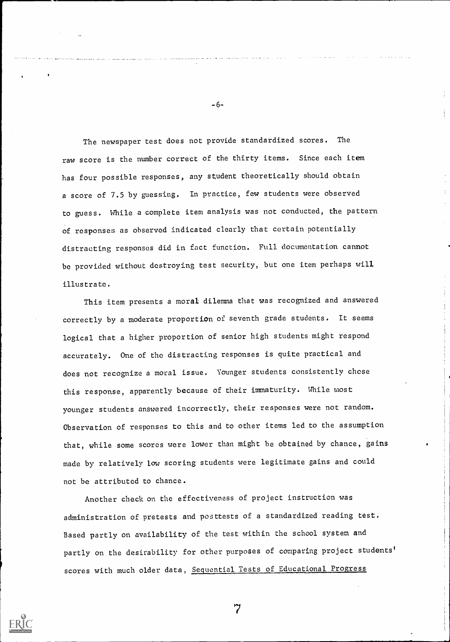The newspaper test does not provide standardized scores. The raw score is the number correct of the thirty items. Since each item has four possible responses, any student theoretically should obtain a score of 7.5 by guessing. In practice, few students were observed to guess. While a complete item analysis was not conducted, the pattern of responses as observed indicated clearly that certain potentially distracting responses did in fact function. Full documentation cannot be provided without destroying test security, but one item perhaps will illustrate.

This item presents a moral dilemma that was recognized and answered correctly by a moderate proportion of seventh grade students. It seems logical that a higher proportion of senior high students might respond accurately. One of the distracting responses is quite practical and does not recognize a moral issue. Younger students consistently chcse this response, apparently because of their immaturity. While most younger students answered incorrectly, their responses were not random. Observation of responses to this and to other items led to the assumption that, while some scores were lower than might he obtained by chance, gains made by relatively low scoring students were legitimate gains and could not be attributed to chance.

Another check on the effectiveness of project instruction was administration of pretests and posttests of a standardized reading test. Based partly on availability of the test within the school system and partly on the desirability for other purposes of comparing project students' scores with much older data, Sequential Tests of Educational Progress



-6-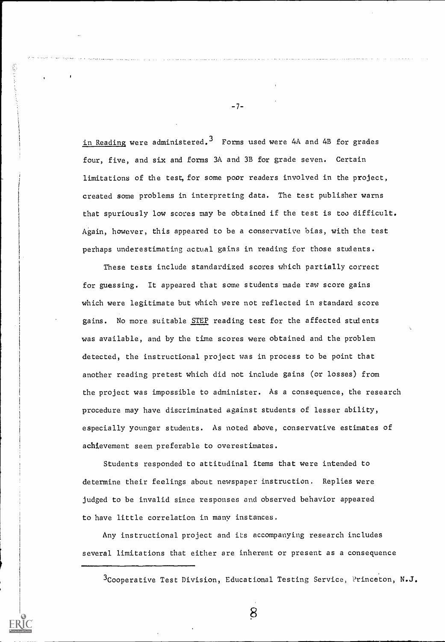in Reading were administered.<sup>3</sup> Forms used were 4A and 4B for grades four, five, and six and forms 3A and 3B for grade seven. Certain limitations of the test, for some poor readers involved in the project, created some problems in interpreting data. The test publisher warns that spuriously low scores may be obtained if the test is too difficult. Again, however, this appeared to be a conservative bias, with the test perhaps underestimating actual gains in reading for those students.

These tests include standardized scores which partially correct for guessing. It appeared that some students made raw score gains which were legitimate but which were not reflected in standard score gains. No more suitable STEP reading test for the affected stulents was available, and by the time scores were obtained and the problem detected, the instructional project was in process to be point that another reading pretest which did not include gains (or losses) from the project was impossible to administer. As a consequence, the research procedure may have discriminated against students of lesser ability, especially younger students. As noted above, conservative estimates of achievement seem preferable to overestimates.

Students responded to attitudinal items that were intended to determine their feelings about newspaper instruction. Replies were judged to be invalid since responses and observed behavior appeared to have little correlation in many instances.

Any instructional project and its accompanying research includes several limitations that either are inherent or present as a consequence

 $3$ Cooperative Test Division, Educational Testing Service, Princeton, N.J.

-7-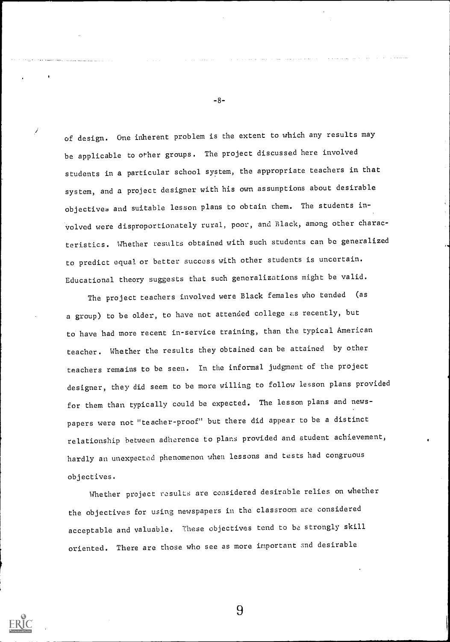of design. One inherent problem is the extent to which any results may be applicable to other groups. The project discussed here involved students in a particular school system, the appropriate teachers in that system, and a project designer with his own assumptions about desirable objectives and suitable lesson plans to obtain chem. The students involved were disproportionately rural, poor, and Black, among other characteristics. Uhether results obtained with such students can be generalized to predict equal or better success with other students is uncertain. Educational theory suggests that such generalizations might be valid.

The project teachers involved were Black females who tended (as a group) to be older, to have not attended college as recently, but to have had more recent in-service training, than the typical American teacher. Whether the results they obtained can be attained by other teachers remains to be seen. In the informal judgment of the project designer, they did seem to be more willing to follow lesson plans provided for them than typically could be expected. The lesson plans and newspapers were not "teacher-proof" but there did appear to be a distinct relationship between adherence to plans provided and student achievement, hardly an unexpected phenomenon when lessons and tests had congruous objectives.

Whether project results are considered desirable relies on whether the objectives for using newspapers in the classroom are considered acceptable and valuable. These objectives tend to be strongly skill oriented. There arc those who see as more important and desirable

9

-8-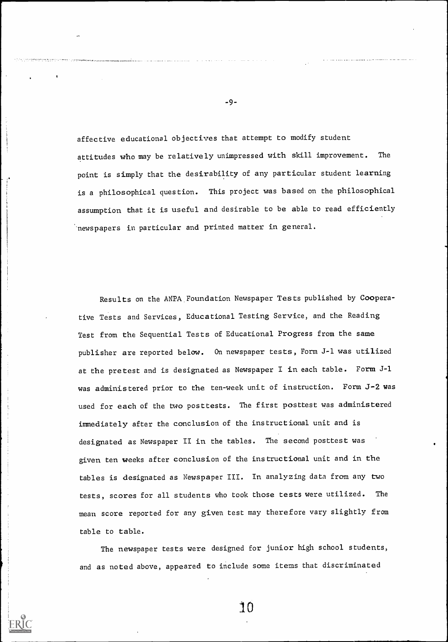affective educational objectives that attempt to modify student attitudes who may be relatively unimpressed with skill improvement. The point is simply that the desirability of any particular student learning is a philosophical question. This project was based on the philosophical assumption that it is useful and desirable to be able to read efficiently 'newspapers in particular and printed matter in general.

Results on the ANPA Foundation Newspaper Tests published by Cooperative Tests and Services, Educational Testing Service, and the Reading Test from the Sequential Tests of Educational Progress from the same publisher are reported below. On newspaper tests, Form J-1 was utilized at the pretest and is designated as Newspaper I in each table. Form J-1 was administered prior to the ten-week unit of instruction. Form J-2 was used for each of the two posttests. The first posttest was administered immediately after the conclusion of the instructional unit and is designated as Newspaper II in the tables. The second posttest was given ten weeks after conclusion of the instructional unit and in the tables is designated as Newspaper III. In analyzing data from any two tests, scores for all students who took those tests were utilized. The mean score reported for any given test may therefore vary slightly from table to table.

The newspaper tests were designed for junior high school students, and as noted above, appeared to include Some items that discriminated

10

-9-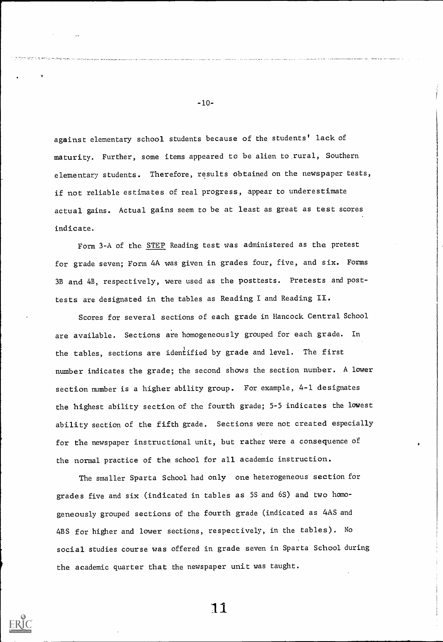against elementary school students because of the students' lack of maturity. Further, some items appeared to be alien to.rural, Southern elementary students. Therefore, results obtained on the newspaper tests, if not reliable estimates of real progress, appear to underestimate actual gains. Actual gains seem to be at least as great as test scores indicate.

Form 3-A of the STEP Reading test was administered as the pretest for grade seven; Form 4A was given in grades four, five, and six. Forms 3B and 4B, respectively, were used as the posttests. Pretests and posttests are designated in the tables as Reading I and Reading II.

Scores for several sections of each grade in Hancock Central School are available. Sections are homogeneously grouped for each grade. In the tables, sections are identified by grade and level. The first number indicates the grade; the second shows the section number. A lower section number is a higher ability group. For example, 4-1 designates the highest ability section of the fourth grade; 5-5 indicates the lowest ability section of the fifth grade. Sections were not created especially for the newspaper instructional unit, but rather were a consequence of the normal practice of the school for all academic instruction.

The smaller Sparta School had only one heterogeneous section for grades five and six (indicated in tables as 5S and 6S) and two homogeneously grouped sections of the fourth grade (indicated as 4AS and 4BS for higher and lower sections, respectively, in the tables). No social studies course was offered in grade seven in Sparta School during the academic quarter that the newspaper unit was taught.

11

-10-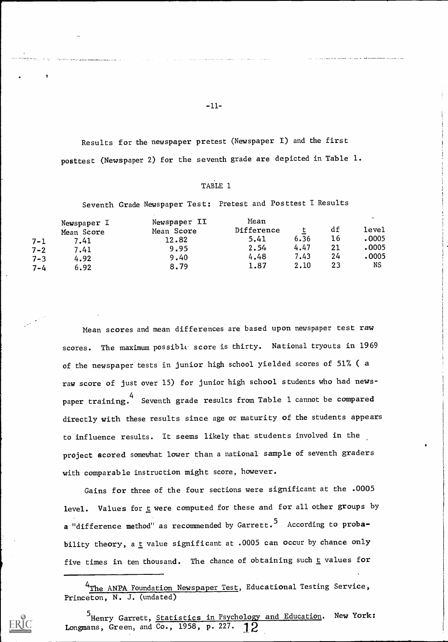Results for the newspaper pretest (Newspaper I) and the first posttest (Newspaper 2) for the seventh grade are depicted in Table 1.

### TABLE 1

Seventh Grade Newspaper Test: Pretest and Posttest I Results

| $7 - 1$<br>$7 - 2$<br>$7 - 3$ | Newspaper I<br>Mean Score<br>7.41<br>7.41<br>4.92 | Newspaper II<br>Mean Score<br>12.82<br>9.95<br>9.40 | Mean<br>Difference<br>5.41<br>2.54<br>4.48 | ∸<br>6.36<br>4.47<br>7.43 | df<br>16<br>21<br>24 | $\overline{\phantom{0}}$<br>level<br>.0005<br>0005 •<br>.0005 |  |
|-------------------------------|---------------------------------------------------|-----------------------------------------------------|--------------------------------------------|---------------------------|----------------------|---------------------------------------------------------------|--|
| $7 - 4$                       | 6.92                                              | 8.79                                                | 1.87                                       | 2.10                      | 23                   | NS                                                            |  |

Mean scores and mean differences are based upon newspaper test raw scores. The maximum possible score is thirty. National tryouts in 1969 of the newspaper tests in junior high school yielded scores of 51% ( a raw score of just over 15) for junior high school students who had newspaper training. 4 Seventh grade results from Table 1 cannot be compared directly with these results since age or maturity of the students appears to influence results. It seems likely that students involved in the project scored somewhat lower than a national sample of seventh graders with comparable instruction might score, however.

Gains for three of the four sections were significant at the .0005 level. Values for t were computed for these and for all other groups by a "difference method" as recommended by Garrett.<sup>5</sup> According to probability theory, a  $\underline{t}$  value significant at .0005 can occur by chance only five times in ten thousand. The chance of obtaining such  $\underline{t}$  values for

<sup>&</sup>lt;sup>5</sup>Henry Garrett, <u>Statistics in Psychology and Education</u>. New York: Longmans, Green, and Co., 1958, p. 227.  $12$ 



 $-11-$ 

<sup>&</sup>lt;sup>4</sup>The ANPA Foundation Newspaper Test, Educational Testing Service, Princeton, N. J. (undated)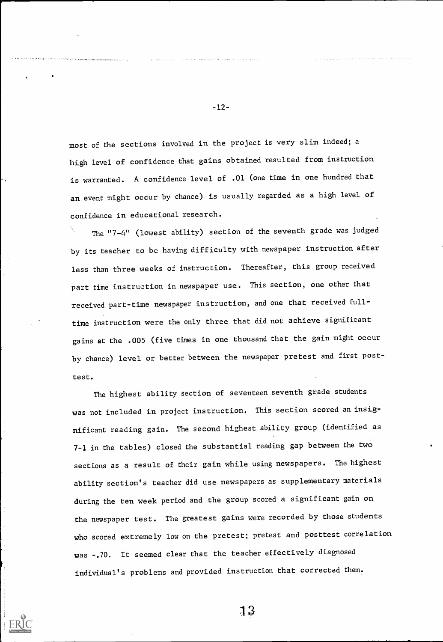most of the sections involved in the project is very slim indeed; a high level of confidence that gains obtained resulted from instruction is warranted. A confidence level of .01 (one time in one hundred that an event might occur by chance) is usually regarded as a high level of confidence in educational research.

The "7-4" (lowest ability) section of the seventh grade was judged by its teacher to be having difficulty with newspaper instruction after less than three weeks of instruction. Thereafter, this group received part time instruction in newspaper use. This section, one other that received part-time newspaper instruction, and one that received fulltime instruction were the only three that did not achieve significant gains at the .005 (five times in one thousand that the gain might occur by chance) level or better between the newspaper pretest and first posttest.

The highest ability section of seventeen seventh grade students was not included in project instruction. This section scored an insignificant reading gain. The second highest ability group (identified as 7-1 in the tables) closed the substantial reading gap between the two sections as a result of their gain while using newspapers. The highest ability section's teacher did use newspapers as supplementary materials during the ten week period and the group scored a significant gain on the newspaper test. The greatest gains were recorded by those students who scored extremely low on the pretest; pretest and posttest correlation was -.70. It seemed clear that the teacher effectively diagnosed individual's problems and provided instruction that corrected them.

-12-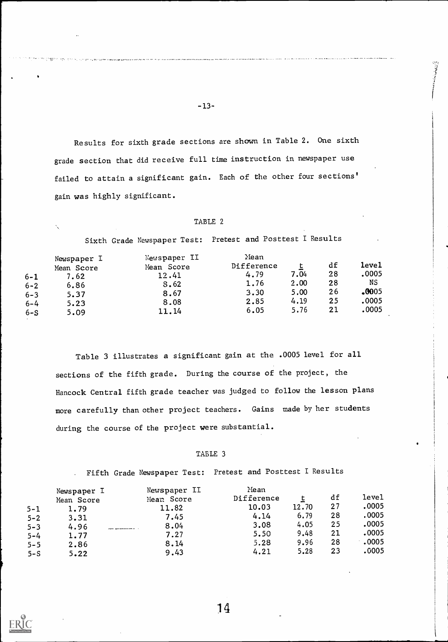Results for sixth grade sections are shown in Table 2. One sixth grade section that did receive full time instruction in newspaper use failed to attain a significant gain. Each of the other four sections' gain was highly significant.

#### TABLE 2

Sixth Grade Newspaper Test: Pretest and Posttest I Results

| 6-1<br>$6 - 2$<br>$6 - 3$<br>$6 - 4$ | Newspaper I<br>Mean Score<br>7.62<br>6.86<br>5.37<br>5.23 | Newspaper II<br>Mean Score<br>12.41<br>8.62<br>8.67<br>8.08 | Nean<br>Difference<br>4.79<br>1.76<br>3.30<br>2.85 | 7.04<br>2.00<br>5,00<br>4.19 | df<br>28<br>28<br>26<br>25 | <b>level</b><br>,0005<br>NS<br>.0005<br>.0005 |  |
|--------------------------------------|-----------------------------------------------------------|-------------------------------------------------------------|----------------------------------------------------|------------------------------|----------------------------|-----------------------------------------------|--|
| $6-S$                                | 5.09                                                      | 11.14                                                       | 6.05                                               | 5.76                         | 21                         | .0005                                         |  |

Table 3 illustrates a significant gain at the .0005 level for all sections of the fifth grade. During the course of the project, the Hancock Central fifth grade teacher was judged to follow the lesson plans more carefully than other project teachers. Gains made by her students during the course of the project were substantial.

#### TABLE 3

Fifth Grade Newspaper Test: Pretest and Posttest I Results

|                    | Newspaper I  | Newspaper II<br>Mean Score | Nean<br>Difference |       | df | level |  |
|--------------------|--------------|----------------------------|--------------------|-------|----|-------|--|
|                    | Mean Score   | 11.82                      | 10.03              | 12.70 | 27 | .0005 |  |
| $5 - 1$<br>$5 - 2$ | 1.79<br>3.31 | 7.45                       | 4.14               | 6.79  | 28 | .0005 |  |
| $5 - 3$            | 4.96         | 8.04                       | 3.08               | 4.05  | 25 | .0005 |  |
| $5 - 4$            | 1.77         | 7.27                       | 5.50               | 9.48  | 21 | .0005 |  |
| $5 - 5$            | 2.86         | 8.14                       | 5.28               | 9.96  | 28 | .0005 |  |
| $5-S$              | 5.22         | 9.43                       | 4.21               | 5.28  | 23 | .0005 |  |

-13-

,<br>sa gana a sina no

Ñ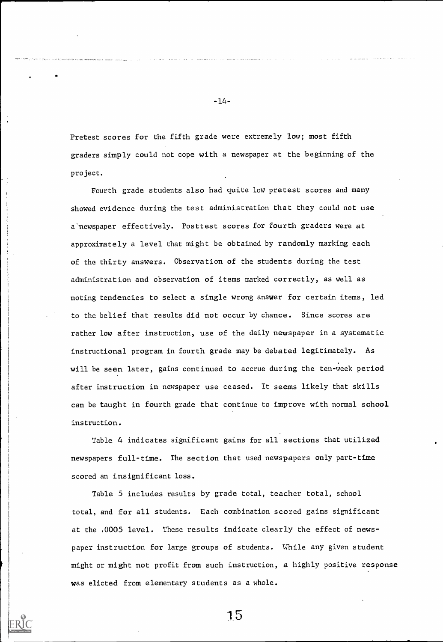Pretest scores for the fifth grade were extremely low; most fifth graders simply could not cope with a newspaper at the beginning of the project.

Fourth grade students also had quite low pretest scores and many showed evidence during the test administration that they could not use a'newspaper effectively. Posttest scores for fourth graders were at approximately a level that might be obtained by randomly marking each of the thirty answers. Observation of the students during the test administration and observation of items marked correctly, as well as noting tendencies to select a single wrong answer for certain items, led to the belief that results did not occur by chance. Since scores are rather low after instruction, use of the daily newspaper in a systematic instructional program in fourth grade may be debated legitimately. As will be seen later, gains continued to accrue during the ten-week period after instruction in newspaper use ceased. It seems likely that skills can be taught in fourth grade that continue to improve with normal school instruction.

Table 4 indicates significant gains for all sections that utilized newspapers full-time. The section that used newspapers only part-time scored an insignificant loss.

Table 5 includes results by grade total, teacher total, school total, and for all students. Each combination scored gains significant at the .0005 level. These results indicate clearly the effect of newspaper instruction for large groups of students. While any given student might or might not profit from such instruction, a highly positive response was elicted from elementary students as a whole.

-14-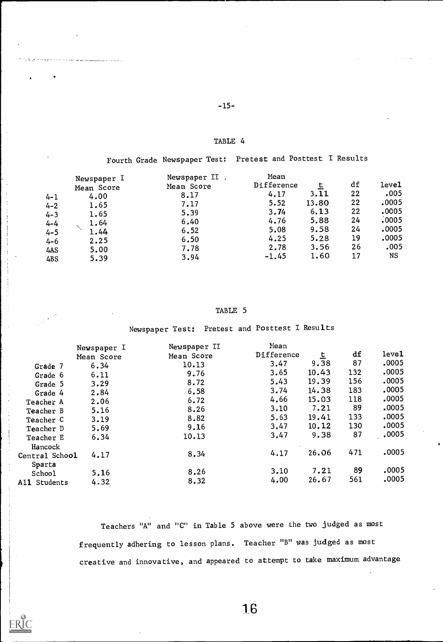TABLE 4

-15-

Fourth Grade Newspaper Test: Pretest and Posttest I Results

| $4 - 1$<br>$4 - 2$<br>$4 - 3$<br>$4 - 4$<br>$4 - 5$<br>$4 - 6$<br>4AS | Newspaper I<br>Mean Score<br>4.00<br>1.65<br>1.65<br>1.64<br>1.44<br>2.25<br>5.00 | Newspaper II.<br>Mean Score<br>8.17<br>7.17<br>5.39<br>6.40<br>6.52<br>6.50<br>7.78 | Mean<br>Difference<br>4.17<br>5.52<br>3.74<br>4.76<br>5.08<br>4.25<br>2.78 | 3.11<br>13.80<br>6.13<br>5.88<br>9.58<br>5.28<br>3.56 | df<br>22<br>22<br>22<br>24<br>24<br>19<br>26 | leve1<br>.005<br>.0005<br>.0005<br>.0005<br>.0005<br>.0005<br>.005 |  |
|-----------------------------------------------------------------------|-----------------------------------------------------------------------------------|-------------------------------------------------------------------------------------|----------------------------------------------------------------------------|-------------------------------------------------------|----------------------------------------------|--------------------------------------------------------------------|--|
| 4BS                                                                   | 5.39                                                                              | 3.94                                                                                | $-1.45$                                                                    | 1.60                                                  | 17                                           | NS                                                                 |  |

### TABLE 5

Newspaper Test: Pretest and Posttest I Results

|                | Newspaper I | Newspaper II | Mean       |       |     |       |  |
|----------------|-------------|--------------|------------|-------|-----|-------|--|
|                | Mean Score  | Mean Score   | Difference | 트     | df  | leve1 |  |
| Grade 7        | 6.34        | 10.13        | 3.47       | 9.38  | 87  | ,0005 |  |
| Grade 6        | 6.11        | 9.76         | 3.65       | 10.43 | 132 | .0005 |  |
| Grade 5        | 3.29        | 8.72         | 5.43       | 19.39 | 156 | .0005 |  |
| Grade 4        | 2.84        | 6.58         | 3.74       | 14.38 | 183 | .0005 |  |
| Teacher A      | 2.06        | 6.72         | 4.66       | 15.03 | 118 | .0005 |  |
| Teacher B      | 5.16        | 8.26         | 3.10       | 7.21  | 89  | .0005 |  |
| Teacher C      | 3.19        | 8.82         | 5.63       | 19.41 | 133 | .0005 |  |
| Teacher D      | 5.69        | 9.16         | 3.47       | 10.12 | 130 | .0005 |  |
| Teacher E      | 6.34        | 10.13        | 3.47       | 9.38  | 87  | ,0005 |  |
| Hancock        |             |              |            |       |     |       |  |
| Central School | 4.17        | 8.34         | 4.17       | 26.06 | 471 | .0005 |  |
| Sparta         |             |              |            |       |     |       |  |
| School         | 5.16        | 8.26         | 3.10       | 7.21  | 89  | .0005 |  |
| All Students   | 4.32        | 8.32         | 4.00       | 26.67 | 561 | .0005 |  |

Teachers "A" and "C" in Table 5 above were the two judged as most frequently adhering to lesson plans. Teacher "B" was judged as most creative and innovative, and appeared to attempt to take maximum advantage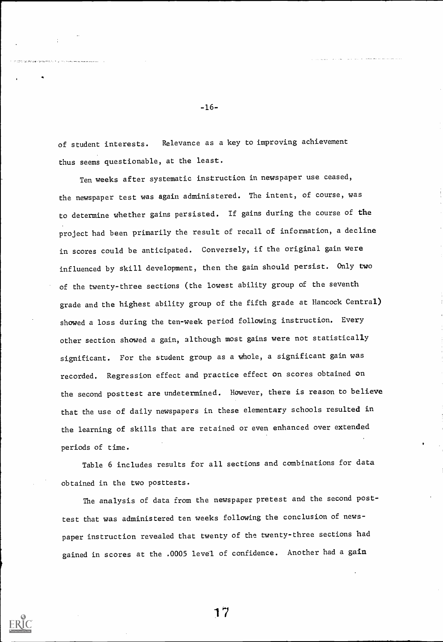of student interests. Relevance as a key to improving achievement thus seems questionable, at the least.

Ten weeks after systematic instruction in newspaper use ceased, the newspaper test was again administered. The intent, of course, was to determine whether gains persisted. If gains during the course of the project had been primarily the result of recall of information, a decline in scores could be anticipated. Conversely, if the original gain were influenced by skill development, then the gain should persist. Only two of the twenty-three sections (the lowest ability group of the seventh grade and the highest ability group of the fifth grade at Hancock Central) showed a loss during the ten-week period following instruction. Every other section showed a gain, although most gains were not statistically significant. For the student group as a whole, a significant gain was recorded. Regression effect and practice effect on scores obtained on the second posttest are undetermined. However, there is reason to believe that the use of daily newspapers in these elementary schools resulted in the learning of skills that are retained or even enhanced over extended periods of time.

Table 6 includes results for all sections and combinations for data obtained in the two posttests.

The analysis of data from the newspaper pretest and the second posttest that was administered ten weeks following the conclusion of newspaper instruction revealed that twenty of ehe twenty-three sections had gained in scores at the .0005 level of confidence. Another had a gain

-16-

المستقلة المصطلح والمساجمة المالية التي الحاربة ال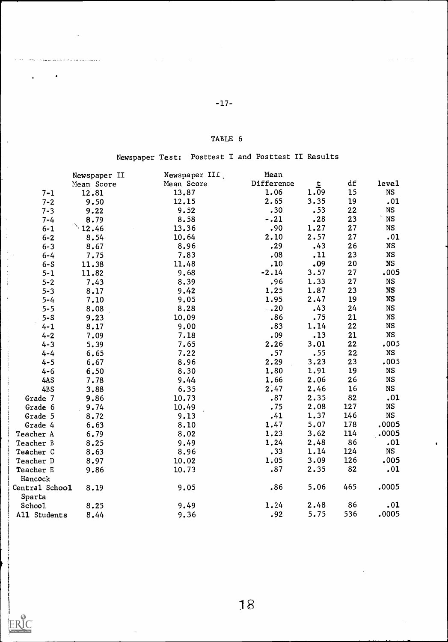.<br>ب این سفار ما است همزمان اهلام از است که از ۱۳۷۷ میلادی است هم به هم با است.

 $\ddot{\phantom{a}}$ 

 $\bar{\beta}$ 

 $\hat{\mathcal{A}}$ 

 $\frac{1}{2}$ 

 $\frac{1}{2}$ 

 $\label{eq:2} \mathcal{L}_{\mathcal{A}} = \mathcal{L}_{\mathcal{A}} + \mathcal{L}_{\mathcal{A}} + \mathcal{L}_{\mathcal{A}} + \mathcal{L}_{\mathcal{A}}$ 

 $\bar{\beta}$ 

 $\frac{1}{2}$ 

 $\label{eq:2.1} \begin{split} \mathcal{L}_{\mathcal{A}}(\mathcal{A}) = \mathcal{L}_{\mathcal{A}}(\mathcal{A}) = \mathcal{L}_{\mathcal{A}}(\mathcal{A}) = \mathcal{L}_{\mathcal{A}}(\mathcal{A}) = \mathcal{L}_{\mathcal{A}}(\mathcal{A}) = \mathcal{L}_{\mathcal{A}}(\mathcal{A}) = \mathcal{L}_{\mathcal{A}}(\mathcal{A}) = \mathcal{L}_{\mathcal{A}}(\mathcal{A}) = \mathcal{L}_{\mathcal{A}}(\mathcal{A}) = \mathcal{L}_{\mathcal{A}}(\mathcal{A}) = \mathcal{L}_{\mathcal{A}}(\mathcal{$ 

 $\frac{1}{3}$  $\begin{array}{c} 1 \\ 1 \\ 1 \end{array}$ 

ERIC<br>A Full Text Provided by ERIC

للمراجع أرجابا

## TABLE 6

# Newspaper Test: Posttest I and Posttest II Results

| df<br>Difference<br>leve1<br>Mean Score<br>上<br>Mean Score<br>15<br>1.06<br>1.09<br><b>NS</b><br>13.87<br>$7 - 1$<br>12.81<br>2.65<br>3.35<br>19<br>12.15<br>.01<br>$7 - 2$<br>9.50<br>.30<br>.53<br>22<br><b>NS</b><br>9.52<br>$7 - 3$<br>9.22<br>23<br>NS<br>$-.21$<br>.28<br>8.58<br>8.79<br>$7 - 4$<br>12.46<br>.90<br>1.27<br>27<br>13.36<br><b>NS</b><br>$6 - 1$<br>2.10<br>27<br>2.57<br>.01<br>10.64<br>$6 - 2$<br>8.54<br>.29<br>.43<br>26<br>8.96<br><b>NS</b><br>$6 - 3$<br>8.67<br>.08<br>23<br><b>NS</b><br>7.83<br>.11<br>$6 - 4$<br>7.75<br>.09<br>.10<br>20<br><b>NS</b><br>11.48<br>$6-S$<br>11.38<br>$-2.14$<br>27<br>3.57<br>.005<br>9.68<br>11.82<br>$5 - 1$<br>27<br><b>NS</b><br>.96<br>1.33<br>8.39<br>$5 - 2$<br>7.43<br>1.87<br>23<br>1.25<br><b>NS</b><br>9.42<br>$5 - 3$<br>8.17<br>1.95<br>19<br>2.47<br><b>NS</b><br>9.05<br>$5 - 4$<br>7.10<br>24<br>8.28<br>$\cdot$ . 20<br>.43<br><b>NS</b><br>$5 - 5$<br>8.08<br>.86<br>.75<br>21<br><b>NS</b><br>10.09<br>$5-S$<br>9.23<br>.83<br>22<br>1.14<br><b>NS</b><br>9.00<br>$4 - 1$<br>8.17<br>21<br><b>NS</b><br>.09<br>.13<br>7.18<br>$4 - 2$<br>7.09<br>22<br>.005<br>2.26<br>3.01<br>$4 - 3$<br>7.65<br>5.39<br>22<br><b>NS</b><br>.57<br>.55<br>7.22<br>$4 - 4$<br>6.65<br>23<br>2.29<br>3.23<br>.005<br>8.96<br>6.67<br>$4 - 5$<br><b>NS</b><br>1.80<br>1.91<br>19<br>8.30<br>$4 - 6$<br>6.50<br>26<br><b>NS</b><br>1.66<br>2.06<br>4AS<br>9.44<br>7.78<br>2.47<br>16<br>6.35<br>2.46<br><b>NS</b><br>3.88<br>4BS<br>82<br>.01<br>.87<br>2.35<br>10.73<br>9.86<br>Grade 7<br>.75<br><b>NS</b><br>2.08<br>127<br>10.49<br>9.74<br>Grade 6<br><b>NS</b><br>.41<br>1.37<br>146<br>9.13<br>Grade 5<br>8.72<br>.0005<br>1.47<br>5.07<br>178<br>8.10<br>Grade 4<br>6.63<br>.0005<br>1.23<br>3.62<br>114<br>8.02<br>Teacher A<br>6.79<br>1.24<br>86<br>9.49<br>2.48<br>.01<br>8.25<br>Teacher B<br>.33<br>1.14<br>124<br><b>NS</b><br>8.96<br>Teacher C<br>8.63<br>3.09<br>126<br>005.<br>1.05<br>10.02<br>Teacher D<br>8.97<br>82<br>.01<br>.87<br>2.35<br>10.73<br>Teacher E<br>9.86<br>Hancock<br>465<br>.0005<br>.86<br>5.06<br>9.05<br>Central School<br>8.19<br>Sparta<br>86<br>1.24<br>2.48<br>.01<br>9.49<br>School<br>8.25<br>536<br>5.75<br>.0005<br>9.36<br>.92<br>All Students<br>8.44 | Newspaper II | Newspaper III. | Mean |  |  |
|------------------------------------------------------------------------------------------------------------------------------------------------------------------------------------------------------------------------------------------------------------------------------------------------------------------------------------------------------------------------------------------------------------------------------------------------------------------------------------------------------------------------------------------------------------------------------------------------------------------------------------------------------------------------------------------------------------------------------------------------------------------------------------------------------------------------------------------------------------------------------------------------------------------------------------------------------------------------------------------------------------------------------------------------------------------------------------------------------------------------------------------------------------------------------------------------------------------------------------------------------------------------------------------------------------------------------------------------------------------------------------------------------------------------------------------------------------------------------------------------------------------------------------------------------------------------------------------------------------------------------------------------------------------------------------------------------------------------------------------------------------------------------------------------------------------------------------------------------------------------------------------------------------------------------------------------------------------------------------------------------------------------------------------------------------------------------------------------------------------------------------------------------------------------------------------------------------------------------------------------------------------------------|--------------|----------------|------|--|--|
|                                                                                                                                                                                                                                                                                                                                                                                                                                                                                                                                                                                                                                                                                                                                                                                                                                                                                                                                                                                                                                                                                                                                                                                                                                                                                                                                                                                                                                                                                                                                                                                                                                                                                                                                                                                                                                                                                                                                                                                                                                                                                                                                                                                                                                                                              |              |                |      |  |  |
|                                                                                                                                                                                                                                                                                                                                                                                                                                                                                                                                                                                                                                                                                                                                                                                                                                                                                                                                                                                                                                                                                                                                                                                                                                                                                                                                                                                                                                                                                                                                                                                                                                                                                                                                                                                                                                                                                                                                                                                                                                                                                                                                                                                                                                                                              |              |                |      |  |  |
|                                                                                                                                                                                                                                                                                                                                                                                                                                                                                                                                                                                                                                                                                                                                                                                                                                                                                                                                                                                                                                                                                                                                                                                                                                                                                                                                                                                                                                                                                                                                                                                                                                                                                                                                                                                                                                                                                                                                                                                                                                                                                                                                                                                                                                                                              |              |                |      |  |  |
|                                                                                                                                                                                                                                                                                                                                                                                                                                                                                                                                                                                                                                                                                                                                                                                                                                                                                                                                                                                                                                                                                                                                                                                                                                                                                                                                                                                                                                                                                                                                                                                                                                                                                                                                                                                                                                                                                                                                                                                                                                                                                                                                                                                                                                                                              |              |                |      |  |  |
|                                                                                                                                                                                                                                                                                                                                                                                                                                                                                                                                                                                                                                                                                                                                                                                                                                                                                                                                                                                                                                                                                                                                                                                                                                                                                                                                                                                                                                                                                                                                                                                                                                                                                                                                                                                                                                                                                                                                                                                                                                                                                                                                                                                                                                                                              |              |                |      |  |  |
|                                                                                                                                                                                                                                                                                                                                                                                                                                                                                                                                                                                                                                                                                                                                                                                                                                                                                                                                                                                                                                                                                                                                                                                                                                                                                                                                                                                                                                                                                                                                                                                                                                                                                                                                                                                                                                                                                                                                                                                                                                                                                                                                                                                                                                                                              |              |                |      |  |  |
|                                                                                                                                                                                                                                                                                                                                                                                                                                                                                                                                                                                                                                                                                                                                                                                                                                                                                                                                                                                                                                                                                                                                                                                                                                                                                                                                                                                                                                                                                                                                                                                                                                                                                                                                                                                                                                                                                                                                                                                                                                                                                                                                                                                                                                                                              |              |                |      |  |  |
|                                                                                                                                                                                                                                                                                                                                                                                                                                                                                                                                                                                                                                                                                                                                                                                                                                                                                                                                                                                                                                                                                                                                                                                                                                                                                                                                                                                                                                                                                                                                                                                                                                                                                                                                                                                                                                                                                                                                                                                                                                                                                                                                                                                                                                                                              |              |                |      |  |  |
|                                                                                                                                                                                                                                                                                                                                                                                                                                                                                                                                                                                                                                                                                                                                                                                                                                                                                                                                                                                                                                                                                                                                                                                                                                                                                                                                                                                                                                                                                                                                                                                                                                                                                                                                                                                                                                                                                                                                                                                                                                                                                                                                                                                                                                                                              |              |                |      |  |  |
|                                                                                                                                                                                                                                                                                                                                                                                                                                                                                                                                                                                                                                                                                                                                                                                                                                                                                                                                                                                                                                                                                                                                                                                                                                                                                                                                                                                                                                                                                                                                                                                                                                                                                                                                                                                                                                                                                                                                                                                                                                                                                                                                                                                                                                                                              |              |                |      |  |  |
|                                                                                                                                                                                                                                                                                                                                                                                                                                                                                                                                                                                                                                                                                                                                                                                                                                                                                                                                                                                                                                                                                                                                                                                                                                                                                                                                                                                                                                                                                                                                                                                                                                                                                                                                                                                                                                                                                                                                                                                                                                                                                                                                                                                                                                                                              |              |                |      |  |  |
|                                                                                                                                                                                                                                                                                                                                                                                                                                                                                                                                                                                                                                                                                                                                                                                                                                                                                                                                                                                                                                                                                                                                                                                                                                                                                                                                                                                                                                                                                                                                                                                                                                                                                                                                                                                                                                                                                                                                                                                                                                                                                                                                                                                                                                                                              |              |                |      |  |  |
|                                                                                                                                                                                                                                                                                                                                                                                                                                                                                                                                                                                                                                                                                                                                                                                                                                                                                                                                                                                                                                                                                                                                                                                                                                                                                                                                                                                                                                                                                                                                                                                                                                                                                                                                                                                                                                                                                                                                                                                                                                                                                                                                                                                                                                                                              |              |                |      |  |  |
|                                                                                                                                                                                                                                                                                                                                                                                                                                                                                                                                                                                                                                                                                                                                                                                                                                                                                                                                                                                                                                                                                                                                                                                                                                                                                                                                                                                                                                                                                                                                                                                                                                                                                                                                                                                                                                                                                                                                                                                                                                                                                                                                                                                                                                                                              |              |                |      |  |  |
|                                                                                                                                                                                                                                                                                                                                                                                                                                                                                                                                                                                                                                                                                                                                                                                                                                                                                                                                                                                                                                                                                                                                                                                                                                                                                                                                                                                                                                                                                                                                                                                                                                                                                                                                                                                                                                                                                                                                                                                                                                                                                                                                                                                                                                                                              |              |                |      |  |  |
|                                                                                                                                                                                                                                                                                                                                                                                                                                                                                                                                                                                                                                                                                                                                                                                                                                                                                                                                                                                                                                                                                                                                                                                                                                                                                                                                                                                                                                                                                                                                                                                                                                                                                                                                                                                                                                                                                                                                                                                                                                                                                                                                                                                                                                                                              |              |                |      |  |  |
|                                                                                                                                                                                                                                                                                                                                                                                                                                                                                                                                                                                                                                                                                                                                                                                                                                                                                                                                                                                                                                                                                                                                                                                                                                                                                                                                                                                                                                                                                                                                                                                                                                                                                                                                                                                                                                                                                                                                                                                                                                                                                                                                                                                                                                                                              |              |                |      |  |  |
|                                                                                                                                                                                                                                                                                                                                                                                                                                                                                                                                                                                                                                                                                                                                                                                                                                                                                                                                                                                                                                                                                                                                                                                                                                                                                                                                                                                                                                                                                                                                                                                                                                                                                                                                                                                                                                                                                                                                                                                                                                                                                                                                                                                                                                                                              |              |                |      |  |  |
|                                                                                                                                                                                                                                                                                                                                                                                                                                                                                                                                                                                                                                                                                                                                                                                                                                                                                                                                                                                                                                                                                                                                                                                                                                                                                                                                                                                                                                                                                                                                                                                                                                                                                                                                                                                                                                                                                                                                                                                                                                                                                                                                                                                                                                                                              |              |                |      |  |  |
|                                                                                                                                                                                                                                                                                                                                                                                                                                                                                                                                                                                                                                                                                                                                                                                                                                                                                                                                                                                                                                                                                                                                                                                                                                                                                                                                                                                                                                                                                                                                                                                                                                                                                                                                                                                                                                                                                                                                                                                                                                                                                                                                                                                                                                                                              |              |                |      |  |  |
|                                                                                                                                                                                                                                                                                                                                                                                                                                                                                                                                                                                                                                                                                                                                                                                                                                                                                                                                                                                                                                                                                                                                                                                                                                                                                                                                                                                                                                                                                                                                                                                                                                                                                                                                                                                                                                                                                                                                                                                                                                                                                                                                                                                                                                                                              |              |                |      |  |  |
|                                                                                                                                                                                                                                                                                                                                                                                                                                                                                                                                                                                                                                                                                                                                                                                                                                                                                                                                                                                                                                                                                                                                                                                                                                                                                                                                                                                                                                                                                                                                                                                                                                                                                                                                                                                                                                                                                                                                                                                                                                                                                                                                                                                                                                                                              |              |                |      |  |  |
|                                                                                                                                                                                                                                                                                                                                                                                                                                                                                                                                                                                                                                                                                                                                                                                                                                                                                                                                                                                                                                                                                                                                                                                                                                                                                                                                                                                                                                                                                                                                                                                                                                                                                                                                                                                                                                                                                                                                                                                                                                                                                                                                                                                                                                                                              |              |                |      |  |  |
|                                                                                                                                                                                                                                                                                                                                                                                                                                                                                                                                                                                                                                                                                                                                                                                                                                                                                                                                                                                                                                                                                                                                                                                                                                                                                                                                                                                                                                                                                                                                                                                                                                                                                                                                                                                                                                                                                                                                                                                                                                                                                                                                                                                                                                                                              |              |                |      |  |  |
|                                                                                                                                                                                                                                                                                                                                                                                                                                                                                                                                                                                                                                                                                                                                                                                                                                                                                                                                                                                                                                                                                                                                                                                                                                                                                                                                                                                                                                                                                                                                                                                                                                                                                                                                                                                                                                                                                                                                                                                                                                                                                                                                                                                                                                                                              |              |                |      |  |  |
|                                                                                                                                                                                                                                                                                                                                                                                                                                                                                                                                                                                                                                                                                                                                                                                                                                                                                                                                                                                                                                                                                                                                                                                                                                                                                                                                                                                                                                                                                                                                                                                                                                                                                                                                                                                                                                                                                                                                                                                                                                                                                                                                                                                                                                                                              |              |                |      |  |  |
|                                                                                                                                                                                                                                                                                                                                                                                                                                                                                                                                                                                                                                                                                                                                                                                                                                                                                                                                                                                                                                                                                                                                                                                                                                                                                                                                                                                                                                                                                                                                                                                                                                                                                                                                                                                                                                                                                                                                                                                                                                                                                                                                                                                                                                                                              |              |                |      |  |  |
|                                                                                                                                                                                                                                                                                                                                                                                                                                                                                                                                                                                                                                                                                                                                                                                                                                                                                                                                                                                                                                                                                                                                                                                                                                                                                                                                                                                                                                                                                                                                                                                                                                                                                                                                                                                                                                                                                                                                                                                                                                                                                                                                                                                                                                                                              |              |                |      |  |  |
|                                                                                                                                                                                                                                                                                                                                                                                                                                                                                                                                                                                                                                                                                                                                                                                                                                                                                                                                                                                                                                                                                                                                                                                                                                                                                                                                                                                                                                                                                                                                                                                                                                                                                                                                                                                                                                                                                                                                                                                                                                                                                                                                                                                                                                                                              |              |                |      |  |  |
|                                                                                                                                                                                                                                                                                                                                                                                                                                                                                                                                                                                                                                                                                                                                                                                                                                                                                                                                                                                                                                                                                                                                                                                                                                                                                                                                                                                                                                                                                                                                                                                                                                                                                                                                                                                                                                                                                                                                                                                                                                                                                                                                                                                                                                                                              |              |                |      |  |  |
|                                                                                                                                                                                                                                                                                                                                                                                                                                                                                                                                                                                                                                                                                                                                                                                                                                                                                                                                                                                                                                                                                                                                                                                                                                                                                                                                                                                                                                                                                                                                                                                                                                                                                                                                                                                                                                                                                                                                                                                                                                                                                                                                                                                                                                                                              |              |                |      |  |  |
|                                                                                                                                                                                                                                                                                                                                                                                                                                                                                                                                                                                                                                                                                                                                                                                                                                                                                                                                                                                                                                                                                                                                                                                                                                                                                                                                                                                                                                                                                                                                                                                                                                                                                                                                                                                                                                                                                                                                                                                                                                                                                                                                                                                                                                                                              |              |                |      |  |  |
|                                                                                                                                                                                                                                                                                                                                                                                                                                                                                                                                                                                                                                                                                                                                                                                                                                                                                                                                                                                                                                                                                                                                                                                                                                                                                                                                                                                                                                                                                                                                                                                                                                                                                                                                                                                                                                                                                                                                                                                                                                                                                                                                                                                                                                                                              |              |                |      |  |  |
|                                                                                                                                                                                                                                                                                                                                                                                                                                                                                                                                                                                                                                                                                                                                                                                                                                                                                                                                                                                                                                                                                                                                                                                                                                                                                                                                                                                                                                                                                                                                                                                                                                                                                                                                                                                                                                                                                                                                                                                                                                                                                                                                                                                                                                                                              |              |                |      |  |  |
|                                                                                                                                                                                                                                                                                                                                                                                                                                                                                                                                                                                                                                                                                                                                                                                                                                                                                                                                                                                                                                                                                                                                                                                                                                                                                                                                                                                                                                                                                                                                                                                                                                                                                                                                                                                                                                                                                                                                                                                                                                                                                                                                                                                                                                                                              |              |                |      |  |  |
|                                                                                                                                                                                                                                                                                                                                                                                                                                                                                                                                                                                                                                                                                                                                                                                                                                                                                                                                                                                                                                                                                                                                                                                                                                                                                                                                                                                                                                                                                                                                                                                                                                                                                                                                                                                                                                                                                                                                                                                                                                                                                                                                                                                                                                                                              |              |                |      |  |  |
|                                                                                                                                                                                                                                                                                                                                                                                                                                                                                                                                                                                                                                                                                                                                                                                                                                                                                                                                                                                                                                                                                                                                                                                                                                                                                                                                                                                                                                                                                                                                                                                                                                                                                                                                                                                                                                                                                                                                                                                                                                                                                                                                                                                                                                                                              |              |                |      |  |  |
|                                                                                                                                                                                                                                                                                                                                                                                                                                                                                                                                                                                                                                                                                                                                                                                                                                                                                                                                                                                                                                                                                                                                                                                                                                                                                                                                                                                                                                                                                                                                                                                                                                                                                                                                                                                                                                                                                                                                                                                                                                                                                                                                                                                                                                                                              |              |                |      |  |  |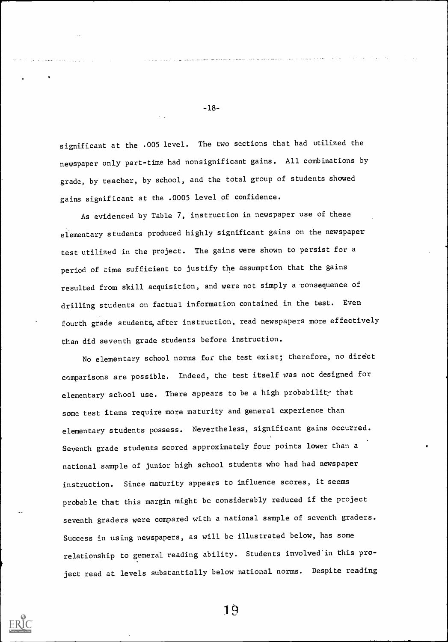significant at the .005 level. The two sections that had utilized the newspaper only part-time had nonsignificant gains. All combinations by grade, by teacher, by school, and the total group of students showed gains significant at the .0005 level of confidence.

-18-

As evidenced by Table 7, instruction in newspaper use of these elementary students produced highly significant gains on the newspaper test utilized in the project. The gains were shown to persist for a period of time sufficient to justify the assumption that the gains resulted from skill acquisition, and were not simply a consequence of drilling students on factual information contained in the test. Even fourth grade students, after instruction, read newspapers more effectively than did seventh grade students before instruction.

No elementary school norms for the test exist; therefore, no direct comparisons are possible. Indeed, the test itself was not designed for elementary school use. There appears to be a high probability that some test items require more maturity and general experience than elementary students possess. Nevertheless, significant gains occurred. Seventh grade students scored approximately four points lower than a national sample of junior high school students who had had newspaper instruction. Since maturity appears to influence scores, it seems probable that this margin might be considerably reduced if the project seventh graders were compared with a national sample of seventh graders. Success in using newspapers, as will be illustrated below, has some relationship to general reading ability. Students involved in this project read at levels substantially below national norms. Despite reading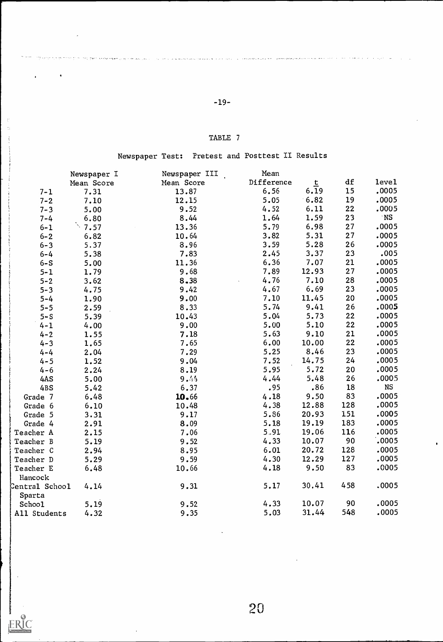# -19-

.<br>The office and here have exchange & one of each of the constitution of the constitution of the theory of the constitution of the constitution of the constitution of the constitution of the constitution of the constitutio

J.

 $\mathcal{L}$  $\frac{1}{2}$  $\ddot{\cdot}$ 

÷

ERIC

أأعمل لممراطة داعة الراضعة

# TABLE 7

# Newspaper Test: Pretest and Posttest II Results

|                | Newspaper I     | Newspaper III | Mean       |       |     |            |  |
|----------------|-----------------|---------------|------------|-------|-----|------------|--|
|                | Mean Score      | Mean Score    | Difference | $t$   | df  | leve1      |  |
| $7 - 1$        | 7.31            | 13.87         | 6.56       | 6.19  | 15  | .0005      |  |
| $7 - 2$        | 7.10            | 12.15         | 5.05       | 6.82  | 19  | .0005      |  |
| $7 - 3$        | 5.00            | 9.52          | 4.52       | 6.11  | 22  | .0005      |  |
| $7 - 4$        | 6.80            | 8.44          | 1.64       | 1.59  | 23  | $\cdot$ NS |  |
| $6 - 1$        | $\ddot{ }$ 7.57 | 13.36         | 5.79       | 6.98  | 27  | .0005      |  |
| $6 - 2$        | 6.82            | 10.64         | 3.82       | 5.31  | 27  | .0005      |  |
| $6 - 3$        | 5.37            | 8.96          | 3.59       | 5.28  | 26  | .0005      |  |
| $6 - 4$        | 5.38            | 7.83          | 2.45       | 3.37  | 23  | .005       |  |
| $6-S$          | 5.00            | 11.36         | 6.36       | 7.07  | 21  | .0005      |  |
| $5 - 1$        | 1.79            | 9.68          | 7.89       | 12.93 | 27  | .0005      |  |
| $5 - 2$        | 3.62            | $8 - 38$      | 4.76       | 7.10  | 28  | .0005      |  |
| $5 - 3$        | 4.75            | 9.42          | 4.67       | 6.69  | 23  | .0005      |  |
| $5 - 4$        | 1.90            | 9.00          | 7.10       | 11.45 | 20  | .0005      |  |
| $5 - 5$        | 2.59            | 8.33          | 5.74       | 9.41  | 26  | .0005      |  |
| $5 - S$        | 5.39            | 10.43         | 5.04       | 5.73  | 22  | .0005      |  |
| $4 - 1$        | 4.00            | 9.00          | 5.00       | 5.10  | 22  | .0005      |  |
| $4 - 2$        | 1.55            | 7.18          | 5.63       | 9.10  | 21  | .0005      |  |
| $4 - 3$        | 1.65            | 7.65          | 6.00       | 10.00 | 22  | .0005      |  |
| $4 - 4$        | 2.04            | 7.29          | 5.25       | 8.46  | 23  | .0005      |  |
| $4 - 5$        | 1.52            | 9.04          | 7.52       | 14.75 | 24  | .0005      |  |
| $4 - 6$        | 2.24            | 8.19          | 5.95       | 5.72  | 20  | .0005      |  |
| 4AS            | 5.00            | 9.44          | 4.44       | 5.48  | 26  | .0005      |  |
| 4BS            | 5.42            | 6.37          | .95        | .86   | 18  | <b>NS</b>  |  |
| Grade 7        | 6.48            | 10.66         | 4.18       | 9.50  | 83  | .0005      |  |
| Grade 6        | 6.10            | 10.48         | 4.38       | 12.88 | 128 | .0005      |  |
| Grade 5        | 3.31            | 9.17          | 5.86       | 20.93 | 151 | .0005      |  |
| Grade 4        | 2.91            | 8.09          | 5.18       | 19.19 | 183 | .0005      |  |
| Teacher A      | 2.15            | 7.06          | 5.91       | 19.06 | 116 | .0005      |  |
| Teacher B      | 5.19            | 9.52          | 4.33       | 10.07 | 90  | .0005      |  |
| Teacher C      | 2.94            | 8.95          | 6.01       | 20.72 | 128 | .0005      |  |
| Teacher D      | 5.29            | 9.59          | 4.30       | 12.29 | 127 | .0005      |  |
| Teacher E      | 6.48            | 10.66         | 4.18       | 9.50  | 83  | .0005      |  |
| Hancock        |                 |               |            |       |     |            |  |
| Central School | 4.14            | 9.31          | 5.17       | 30.41 | 458 | .0005      |  |
| Sparta         |                 |               |            |       |     |            |  |
| Schoo1         | 5.19            | 9.52          | 4.33       | 10.07 | 90  | .0005      |  |
| All Students   | 4.32            | 9.35          | 5.03       | 31.44 | 548 | .0005      |  |
|                |                 |               |            |       |     |            |  |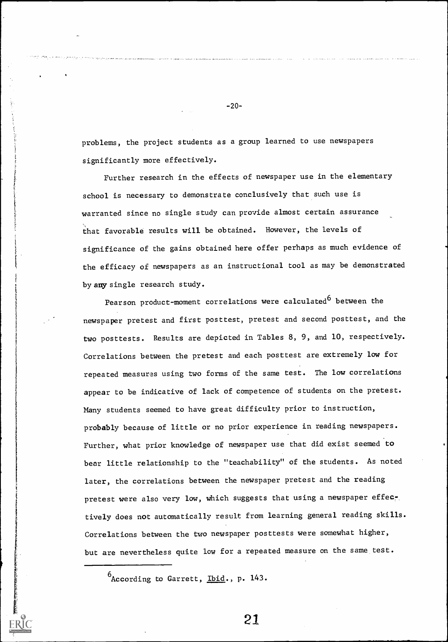problem, the project students as a group learned to use newspapers significantly more effectively.

Further research in the effects of newspaper use in the elementary school is necessary to demonstrate conclusively that such use is warranted since no single study can provide almost certain assurance that favorable results will be obtained. However, the levels of significance of the gains obtained here offer perhaps as much evidence of the efficacy of newspapers as an instructional tool as may be demonstrated by any single research study.

Pearson product-moment correlations were calculated<sup>6</sup> between the newspaper pretest and first posttest, pretest and second posttest, and the two posttests. Results are depicted in Tables 8, 9, and 10, respectively. Correlations between the pretest and each posttest are extremely low for repeated measures using two forms of the same test. The low correlations appear to be indicative of lack of competence of students on the pretest. Many students seemed to have great difficulty prior to instruction, probably because of little or no prior experience in reading newspapers. Further, what prior knowledge of newspaper use that did exist seemed to bear little relationship to the "teachability" of the students. As noted later, the correlations between the newspaper pretest and the reading pretest were also very low, which suggests that using a newspaper effectively does not automatically result from learning general reading skills. Correlations between the two newspaper posttests were somewhat higher, but are nevertheless quite low for a repeated measure on the same test.

 $6$ According to Garrett, Ibid., p. 143.

21

-20-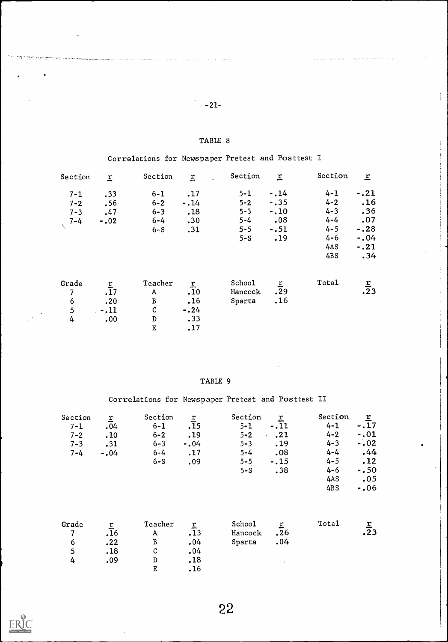# -21-

Ĵ

 $\overline{\phantom{a}}$ 

الرواضية وستوارث والمراوي والمواطنة فوا

## TABLE 8

Correlations for Newspaper Pretest and Posttest I

| Section          | $\overline{r}$   | Section      | $\overline{r}$ | Section | $\overline{r}$ | Section | $\underline{\mathbf{r}}$ |  |
|------------------|------------------|--------------|----------------|---------|----------------|---------|--------------------------|--|
| $7 - 1$          | .33              | $6 - 1$      | .17            | $5 - 1$ | $-14$          | $4 - 1$ | $-.21$                   |  |
| $7 - 2$          | .56              | $6 - 2$      | $-14$          | $5 - 2$ | $-.35$         | $4 - 2$ | .16                      |  |
| $7 - 3$          | .47              | $6 - 3$      | .18            | $5 - 3$ | $-.10$         | $4 - 3$ | .36                      |  |
| $7 - 4$          | $-.02$           | $6 - 4$      | .30            | $5 - 4$ | .08            | $4 - 4$ | .07                      |  |
|                  |                  | $6-S$        | .31            | $5 - 5$ | $-.51$         | $4 - 5$ | $-.28$                   |  |
|                  |                  |              |                | $5-S$   | .19            | $4 - 6$ | $-.04$                   |  |
|                  |                  |              |                |         |                | 4AS     | $-.21$                   |  |
|                  |                  |              |                |         |                | 4BS     | .34                      |  |
| Grade            | $\overline{r}$   | Teacher      | $\overline{r}$ | School  | $\mathbf{r}$   | Total   |                          |  |
| $\overline{7}$   | $\overline{.}17$ | $\mathbf{A}$ | .10            | Hancock | .29            |         | $rac{r}{23}$             |  |
| $\boldsymbol{6}$ | .20              | $\, {\bf B}$ | .16            | Sparta  | .16            |         |                          |  |
| 5                | $-11$            | $\mathsf C$  | $-0.24$        |         |                |         |                          |  |
| 4                | .00              | ${\tt D}$    | .33            |         |                |         |                          |  |
|                  |                  | $\mathbf E$  | .17            |         |                |         |                          |  |

# TABLE 9

Correlations for Newspaper Pretest and Posttest II

| Section<br>$7 - 1$<br>$7 - 2$<br>$7 - 3$<br>$7 - 4$ | $\tilde{\mathbf{r}}$<br>.04<br>.10<br>.31<br>$-0.04$ | Section<br>$6 - 1$<br>$6 - 2$<br>$6 - 3$<br>$6 - 4$<br>$6-S$            | $\frac{r}{15}$<br>.19<br>$-0.04$<br>.17<br>.09 | Section<br>$5 - 1$<br>$5 - 2$<br>$5 - 3$<br>$5 - 4$<br>$5 - 5$<br>$5-S$ | $\frac{r}{11}$<br>.21<br>.19<br>.08<br>$-.15$<br>.38 | Section<br>$4 - 1$<br>$4 - 2$<br>$4 - 3$<br>$4 - 4$<br>$4 - 5$<br>$4 - 6$<br>4AS<br>4BS | $-\frac{r}{17}$<br>$-.01$<br>$-0.02$<br>.44<br>.12<br>$-0.50$<br>.05<br>$-.06$ |  |
|-----------------------------------------------------|------------------------------------------------------|-------------------------------------------------------------------------|------------------------------------------------|-------------------------------------------------------------------------|------------------------------------------------------|-----------------------------------------------------------------------------------------|--------------------------------------------------------------------------------|--|
| Grade<br>7<br>$\frac{6}{5}$<br>4                    | $\frac{r}{16}$<br>.22<br>.18<br>.09                  | Teacher<br>A<br>$\, {\bf B}$<br>$\mathbf C$<br>${\tt D}$<br>$\mathbf E$ | $\frac{r}{13}$<br>.04<br>.04<br>.18<br>.16     | School<br>Hancock<br>Sparta                                             | $\frac{r}{26}$<br>.04                                | Total                                                                                   | $rac{r}{23}$                                                                   |  |

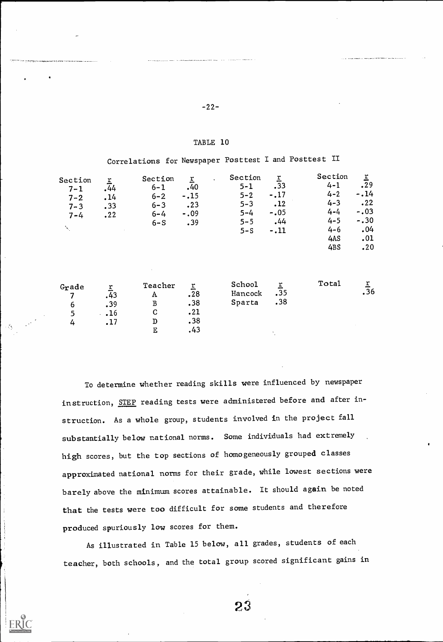# -22-

#### TABLE 10

Correlations for Newspaper Posttest I and Posttest II

| Section<br>$7 - 1$<br>$7 - 2$<br>$7 - 3$<br>$7 - 4$<br>$\Delta_{\rm{c}}$ | $\frac{r}{44}$<br>.14<br>.33<br>.22         | Section<br>$6 - 1$<br>$6 - 2$<br>$6 - 3$<br>$6 - 4$<br>$6 - S$ | $\underline{\mathbf{r}}$<br>.40<br>$-.15$<br>.23<br>$-.09$<br>.39 | Section<br>$\ddot{\phantom{a}}$<br>$5 - 1$<br>$5 - 2$<br>$5 - 3$<br>$5 - 4$<br>$5 - 5$<br>$5-S$ | $\frac{r}{33}$<br>$-.17$<br>.12<br>$-.05$<br>.44<br>$-.11$ | Section<br>$4 - 1$<br>$4 - 2$<br>$4 - 3$<br>$4 - 4$<br>$4 - 5$<br>$4 - 6$<br>4AS<br>4BS | $rac{r}{29}$<br>$-14$<br>.22<br>$-.03$<br>$-.30$<br>.04<br>.01<br>.20 |  |
|--------------------------------------------------------------------------|---------------------------------------------|----------------------------------------------------------------|-------------------------------------------------------------------|-------------------------------------------------------------------------------------------------|------------------------------------------------------------|-----------------------------------------------------------------------------------------|-----------------------------------------------------------------------|--|
| Grade<br>7<br>6<br>5<br>4                                                | $\frac{r}{43}$<br>.39<br>$\ddots$ 16<br>.17 | Teacher<br>A<br>$\, {\bf B}$<br>$\mathbf C$<br>$\mathbf D$     | $\overline{r}$<br>.28<br>.38<br>.21<br>.38                        | School<br>Hancock<br>Sparta                                                                     | $rac{r}{35}$<br>.38                                        | Total                                                                                   | $\frac{r}{36}$                                                        |  |

E .43

To determine whether reading skills were influenced by newspaper instruction, STEP reading tests were administered before and after instruction. As a whole group, students involved in the project fall substantially below national norms. Some individuals had extremely high scores, but the top sections of homogeneously grouped classes approximated national norms for their grade, while lowest sections were barely above the minimum scores attainable. It should again be noted that the tests were too difficult for some students and therefore produced spuriously low scores for them.

As illustrated in Table 15 below, all grades, students of each teacher, both schools, and the total group scored significant gains in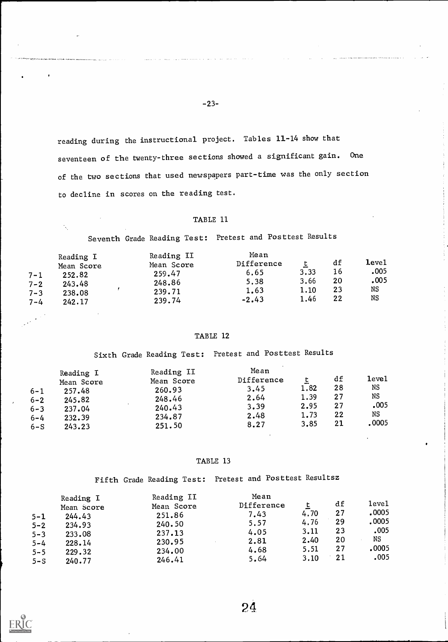reading during the instructional project. Tables 11-14 show that seventeen of the twenty-three sections showed a significant gain. One of the two sections that used newspapers part-time was the only section to decline in scores on the reading test.

-23-

### TABLE 11

Seventh Grade Reading Test: Pretest and Posttest Results

| $7 - 1$<br>$7 - 2$<br>$7 - 3$ | Reading I<br>Mean Score<br>252.82<br>243.48<br>238.08 | Reading II<br>Mean Score<br>259.47<br>248.86<br>239.71 | Mean<br>Difference<br>6.65<br>5,38<br>1.63<br>$-2.43$ | 3,33<br>3.66<br>1.10<br>1.46 | df<br>16<br>20<br>23<br>22 | ${\tt level}$<br>.005<br>.005<br>NS<br>NS |  |
|-------------------------------|-------------------------------------------------------|--------------------------------------------------------|-------------------------------------------------------|------------------------------|----------------------------|-------------------------------------------|--|
| $7 - 4$                       | 242.17                                                | 239.74                                                 |                                                       |                              |                            |                                           |  |

### TABLE 12

Sixth Grade Reading Test: Pretest and Posttest Results

#### TABLE 13

Fifth Grade Reading Test: Pretest and Posttest Resultsz

| $5 - 1$<br>$5 - 2$<br>$5 - 3$<br>$5 - 4$<br>$5 - 5$ | Reading I<br>Mean Score<br>244.43<br>234.93<br>233.08<br>228.14<br>229.32 | Reading II<br>Mean Score<br>251.86<br>240.50<br>237.13<br>230.95<br>234.00 | Mean<br>Difference<br>7.43<br>5.57<br>4.05<br>2.81<br>4.68 | 4.70<br>4.76<br>3.11<br>2.40<br>5.51 | df<br>27<br>29<br>23<br>20<br>27 | level<br>.0005<br>.0005<br>.005<br>NS<br>.0005 |  |
|-----------------------------------------------------|---------------------------------------------------------------------------|----------------------------------------------------------------------------|------------------------------------------------------------|--------------------------------------|----------------------------------|------------------------------------------------|--|
| $5-S$                                               | 240.77                                                                    | 246.41                                                                     | 5.64                                                       | 3.10                                 | 21                               | .005                                           |  |

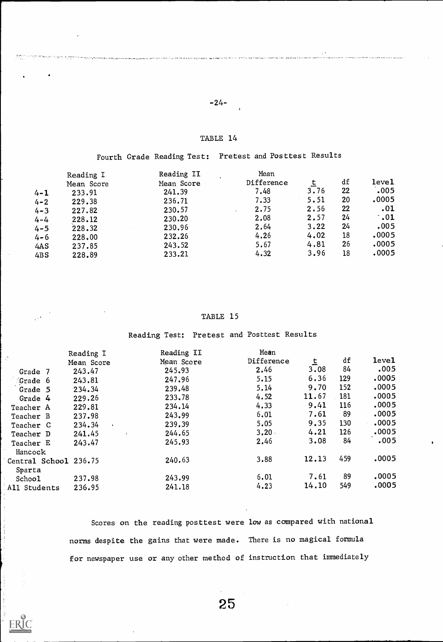# -24-

in and international displacement wealth can be an actional displacement and along a start displacement are leader an

## TABLE 14

Fourth Grade Reading Test: Pretest and Posttest Results

|         | Reading I  | Reading II | Mean       |      |    |             |  |
|---------|------------|------------|------------|------|----|-------------|--|
|         | Mean Score | Mean Score | Difference |      | df | level       |  |
| $4 - 1$ | 233.91     | 241.39     | 7.48       | 3.76 | 22 | .005        |  |
| $4 - 2$ | 229.38     | 236.71     | 7.33       | 5.51 | 20 | .0005       |  |
| $4 - 3$ | 227.82     | 230.57     | 2.75       | 2.56 | 22 | .01         |  |
| $4 - 4$ | 228.12     | 230.20     | 2.08       | 2.57 | 24 | $\cdot$ .01 |  |
| $4 - 5$ | 228.32     | 230.96     | 2.64       | 3.22 | 24 | .005        |  |
| $4 - 6$ | 228.00     | 232.26     | 4.26       | 4.02 | 18 | .0005       |  |
| 4AS     | 237.85     | 243.52     | 5.67       | 4.81 | 26 | .0005       |  |
| 4BS     | 228.89     | 233.21     | 4.32       | 3.96 | 18 | .0005       |  |

### TABLE 15

Reading Test: Pretest and Posttest Results

|                       | Reading I           | Reading II | Mean       |       |     |       |  |
|-----------------------|---------------------|------------|------------|-------|-----|-------|--|
|                       | Mean Score          | Mean Score | Difference | 흐     | df  | leve1 |  |
| Grade 7               | 243.47              | 245.93     | 2.46       | 3.08  | 84  | .005  |  |
| Grade 6               | 243.81              | 247.96     | 5.15       | 6.36  | 129 | .0005 |  |
| Grade 5               | 234.34              | 239.48     | 5.14       | 9.70  | 152 | .0005 |  |
| Grade 4               | 229.26              | 233.78     | 4.52       | 11.67 | 181 | .0005 |  |
| Teacher A             | 229.81              | 234.14     | 4.33       | 9.41  | 116 | .0005 |  |
| Teacher B             | 237.98              | 243.99     | 6.01       | 7.61  | 89  | .0005 |  |
| Teacher C             | 234.34<br>$\bullet$ | 239.39     | 5.05       | 9.35  | 130 | .0005 |  |
| Teacher D             | 241.45              | 244.65     | 3.20       | 4.21  | 126 | .0005 |  |
| Teacher E             | 243.47              | 245.93     | 2.46       | 3.08  | 84  | .005  |  |
| Hancock               |                     |            |            |       |     |       |  |
| Central School 236.75 |                     | 240.63     | 3.88       | 12.13 | 459 | .0005 |  |
| Sparta                |                     |            |            |       |     |       |  |
| School                | 237.98              | 243.99     | 6.01       | 7.61  | 89  | .0005 |  |
| All Students          | 236.95              | 241.18     | 4.23       | 14.10 | 549 | .0005 |  |
|                       |                     |            |            |       |     |       |  |

Scores on the reading posttest were low as compared with national norms despite the gains that were made. There is no magical formula for newspaper use or any other method of instruction that immediately

25

医克里克氏杆菌 的

ERIC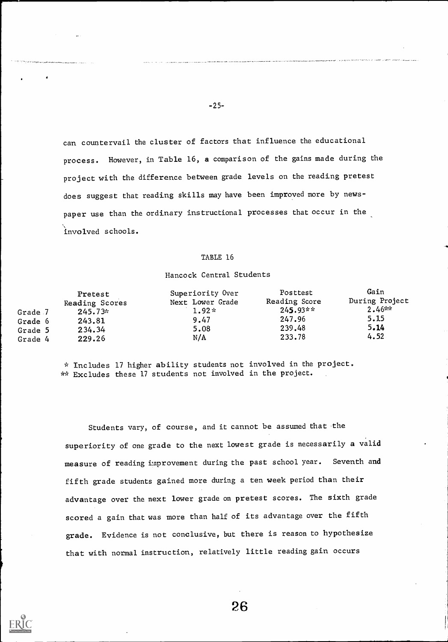can countervail the cluster of factors that influence the educational process. However, in Table 16, a comparison of the gains made during the project with the difference between grade levels on the reading pretest does suggest that reading skills may have been improved more by newspaper use than the ordinary instructional processes that occur in the involved schools.

#### TABLE 16

#### Hancock Central Students

|                    | Pretest<br>Reading Scores | Superiority Over<br>Next Lower Grade | Posttest<br>Reading Score | Gain<br>During Project |  |
|--------------------|---------------------------|--------------------------------------|---------------------------|------------------------|--|
| Grade 7<br>Grade 6 | $245.73*$<br>243.81       | $1.92*$<br>9.47                      | $245.93**$<br>247.96      | $2.46$ **<br>5.15      |  |
| Grade 5            | 234.34                    | 5.08                                 | 239.48                    | 5.14                   |  |
| Grade 4            | 229.26                    | N/A                                  | 233.78                    | 4.52                   |  |

\* Includes 17 higher ability students not involved in the project. \*\* Excludes these 17 students not involved in the project.

Students vary, of course, and it cannot be assumed that the superiority of one grade to the next lowest grade is necessarily a valid measure of reading improvement during the past school year. Seventh and fifth grade students gained more during a ten week period than their advantage over the next lower grade on pretest scores. The sixth grade scored a gain that was more than half of its advantage over the fifth grade. Evidence is not conclusive, but there is reason to hypothesize that with normal instruction, relatively little reading gain occurs



-25-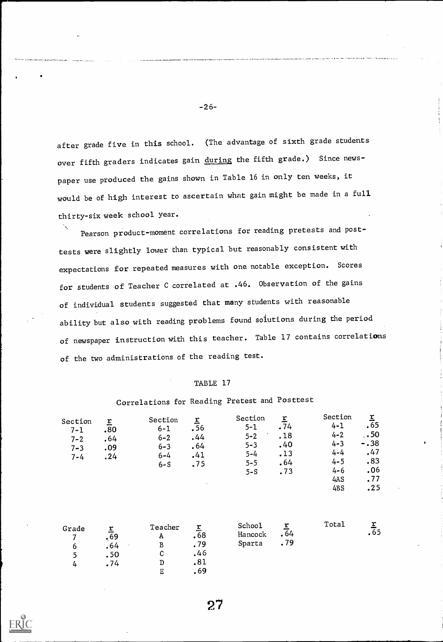after grade five in this school. (The advantage of sixth grade students over fifth graders indicates gain during the fifth grade.) Since newspaper use produced the gains shown in Table 16 in only ten weeks, it would be of high interest to ascertain what gain might be made in a full thirty-six week school year.

Pearson product-moment correlations for reading pretests and posttests were slightly lower than typical but reasonably consistent with expectations for repeated measures with one notable exception. Scores for students of Teacher C correlated at .46. Observation of the gains of individual students suggested that many students with reasonable ability but also with reading problems found solutions during the period of newspaper instruction with this teacher. Table 17 contains correlations of the two administrations of the reading test.

## TABLE 17

| Section<br>$7 - 1$<br>$7 - 2$<br>$7 - 3$<br>$7 - 4$ | $\mathbf{r}$<br>.80<br>.64<br>.09<br>.24 | Section<br>$6 - 1$<br>$6 - 2$<br>$6 - 3$<br>$6 - 4$<br>$6-S$ | $\frac{r}{56}$<br>.44<br>.64<br>.41<br>.75<br>$\mathbf{v}$ | Section<br>$5 - 1$<br>$5 - 2$<br>$5 - 3$<br>$5 - 4$<br>$5 - 5$<br>$5-S$ | $\overline{r}$<br>.74<br>.18<br>.40<br>.13<br>.64<br>.73 | Section<br>$4 - 1$<br>$4 - 2$<br>$4 - 3$<br>$4 - 4$<br>$4 - 5$<br>$4 - 6$<br>4AS<br>4BS | $\overline{r}$<br>$\overline{.65}$<br>.50<br>$-.38$<br>.47<br>.83<br>.06<br>.77<br>.25 | $\cdot$ |
|-----------------------------------------------------|------------------------------------------|--------------------------------------------------------------|------------------------------------------------------------|-------------------------------------------------------------------------|----------------------------------------------------------|-----------------------------------------------------------------------------------------|----------------------------------------------------------------------------------------|---------|
|                                                     |                                          |                                                              |                                                            | ______                                                                  |                                                          | $T - L - 1$                                                                             | $\overline{\phantom{a}}$                                                               |         |

27

# Correlations for Reading Pretest and Posttest

| Grade | --<br>.69 | Teacher<br>А | --<br>.68 | School<br>Hancock | .64 | Total | ≁<br>ده. |  |
|-------|-----------|--------------|-----------|-------------------|-----|-------|----------|--|
| b     | .64       |              | .79       | Sparta            | .79 |       |          |  |
|       | .50       | ື            | .46       |                   |     |       |          |  |
|       | .74       |              | .81       |                   |     |       |          |  |
|       |           |              | .69       |                   |     |       |          |  |

| L  | $\overline{\tau}$ | Total |  |
|----|-------------------|-------|--|
| 2k | $\sqrt{64}$       |       |  |
| ì  | .79               |       |  |
|    |                   |       |  |

-26-

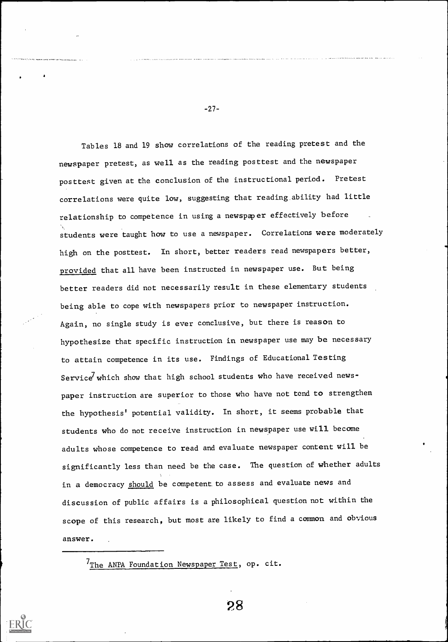Tables 18 and 19 show correlations of the reading pretest and the newspaper pretest, as well as the reading posttest and the newspaper posttest given at the conclusion of the instructional period. Pretest correlations were quite low, suggesting that reading ability had little relationship to competence in using a newspaper effectively before students were taught how to use a newspaper. Correlations were moderately high on the posttest. In short, better readers read newspapers better, provided that all have been instructed in newspaper use. But being better readers did not necessarily result in these elementary students being able to cope with newspapers prior to newspaper instruction. Again, no single study is ever conclusive, but there is reason to hypothesize that specific instruction in newspaper use may be necessary to attain competence in its use. Findings of Educational Testing Service which show that high school students who have received newspaper instruction are superior to those who have not tend to strengthen the hypothesis' potential validity. In short, it seems probable that students who do not receive instruction in newspaper use will become adults whose competence to read and evaluate newspaper content will be significantly less than need be the case. The question of whether adults in a democracy should be competent to assess and evaluate news and discussion of public affairs is a philosophical question not within the scope of this research, but most are likely to find a common and obvious answer.

-27-

 $7$ The ANPA Foundation Newspaper Test, op. cit.

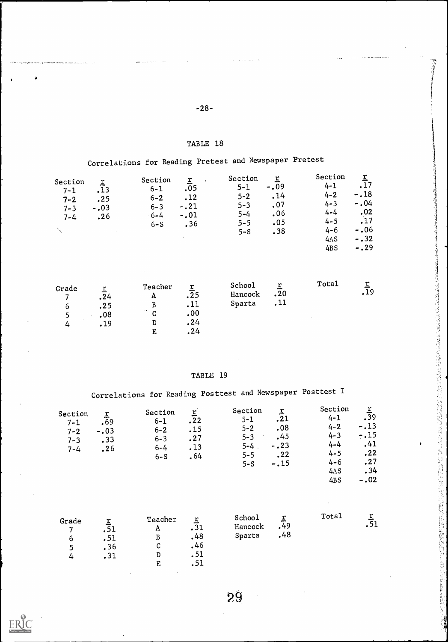# -28-

and the company

# TABLE 18

# Correlations for Reading Pretest and Newspaper Pretest

| Section<br>.13<br>$7 - 1$<br>.25<br>$7 - 2$<br>$-.03$<br>$7 - 3$<br>.26<br>$7 - 4$ | Section<br>$6 - 1$<br>$6 - 2$<br>$6 - 3$<br>$-6 - 4$<br>$6-S$ | I<br>.05<br>.12<br>$-.21$<br>$-.01$<br>.36 | Section<br>$5 - 1$<br>$5 - 2$<br>$5 - 3$<br>$5 - 4$<br>$5 - 5$<br>$5-S$ | $-.09$<br>.14<br>.07<br>.06<br>.05<br>.38 | Section<br>$4 - 1$<br>$4 - 2$<br>$4 - 3$<br>$4 - 4$<br>$4 - 5$<br>$4 - 6$<br>4AS<br>4BS | .17<br>$-.18$<br>$-0.04$<br>.02<br>.17<br>$-.06$<br>$-.32$<br>$-.29$ |  |
|------------------------------------------------------------------------------------|---------------------------------------------------------------|--------------------------------------------|-------------------------------------------------------------------------|-------------------------------------------|-----------------------------------------------------------------------------------------|----------------------------------------------------------------------|--|
|------------------------------------------------------------------------------------|---------------------------------------------------------------|--------------------------------------------|-------------------------------------------------------------------------|-------------------------------------------|-----------------------------------------------------------------------------------------|----------------------------------------------------------------------|--|

| .24 | Grade<br>ь<br>4 | .24<br>.25<br>.08<br>.19 | Teacher<br>A<br>$\ddotsc$<br>C<br>D | .25<br>.11<br>.00<br>.24 | School<br>Hancock<br>Sparta | ∸<br>.20<br>,11 | Total | .19 |  |
|-----|-----------------|--------------------------|-------------------------------------|--------------------------|-----------------------------|-----------------|-------|-----|--|
|-----|-----------------|--------------------------|-------------------------------------|--------------------------|-----------------------------|-----------------|-------|-----|--|

## TABLE 19

# Correlations for Reading Posttest and Newspaper Posttest I

| Section<br>$7 - 1$<br>$7 - 2$<br>$7 - 3$<br>$7 - 4$ | ŗ<br>.69<br>$-.03$<br>.33<br>.26 | Section<br>$6 - 1$<br>$6 - 2$<br>$6 - 3$<br>$6 - 4$<br>$6 - S$<br>$\sim$ | ${\bf r}$<br>.22<br>.15<br>.27<br>.13<br>.64 | Section<br>$5 - 1$<br>$5 - 2$<br>$5 - 3$<br>$\lambda$<br>$5 - 4$ .<br>$5 - 5$<br>$5-S$ | r<br>.21<br>.08<br>.45<br>$-.23$<br>.22<br>$-.15$ | Section<br>$4 - 1$<br>$4 - 2$<br>$4 - 3$<br>$4 - 4$<br>$4 - 5$<br>$4 - 6$<br>4AS<br>4BS | .39<br>$-.13$<br>$-15$<br>.41<br>.22<br>.27<br>.34<br>$-.02$ |  |
|-----------------------------------------------------|----------------------------------|--------------------------------------------------------------------------|----------------------------------------------|----------------------------------------------------------------------------------------|---------------------------------------------------|-----------------------------------------------------------------------------------------|--------------------------------------------------------------|--|
|-----------------------------------------------------|----------------------------------|--------------------------------------------------------------------------|----------------------------------------------|----------------------------------------------------------------------------------------|---------------------------------------------------|-----------------------------------------------------------------------------------------|--------------------------------------------------------------|--|

| Grade<br>O<br>4 | .<br>.51<br>.36<br>.31 | Teacher<br>A<br>B | r<br>1د.<br>.48<br>.46<br>. 51<br>.51 | School<br>Hancock<br>Sparta | ,49<br>.48 | Total | . |  |
|-----------------|------------------------|-------------------|---------------------------------------|-----------------------------|------------|-------|---|--|
|-----------------|------------------------|-------------------|---------------------------------------|-----------------------------|------------|-------|---|--|

79

**ERIC** 

a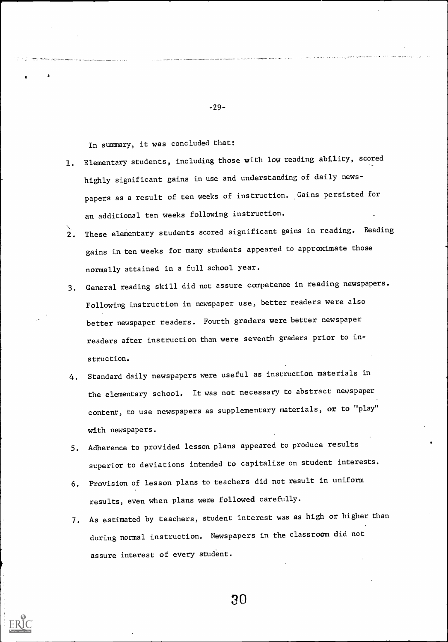In summary, it was concluded that:

A

1. Elementary students, including those with low reading ability, scored highly significant gains in use and understanding of daily newspapers as a result of ten weeks of instruction. Gains persisted for an additional ten weeks following instruction.

-29-

- 2. These elementary students scored significant gains in reading. Reading gains in ten weeks for many students appeared to approximate those normally attained in a full school year.
- 3. General reading skill did not assure competence in reading newspapers. Following instruction in newspaper use, better readers were also better newspaper readers. Fourth graders were better newspaper readers after instruction than were seventh graders prior to instruction.
- 4. Standard daily newspapers were useful as instruction materials in the elementary school. It was not necessary to abstract newspaper content, to use newspapers as supplementary materials, or to "play" with newspapers.
- 5. Adherence to provided lesson plans appeared to produce results superior to deviations intended to capitalize on student interests.
- 6. Provision of lesson plans to teachers did not result in uniform results, even when plans were followed carefully.
- 7. As estimated by teachers, student interest was as high or higher than during normal instruction. Newspapers in the classroom did not assure interest of every student.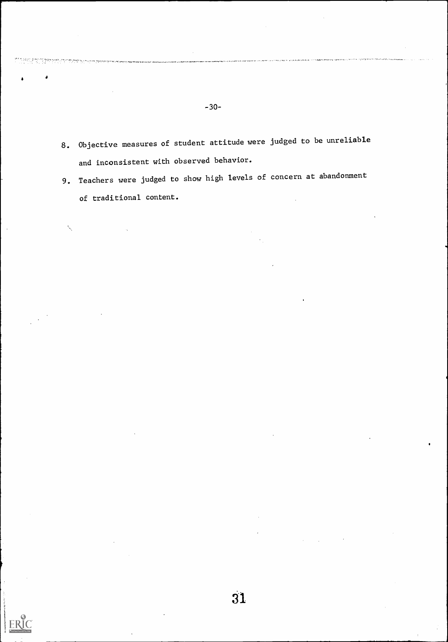8. Objective measures of student attitude were judged to be unreliable and inconsistent with observed behavior.

-30-

دره الوقاعة المستعملين المعارفة المكافئة المكافئة المصرية المتحدث والمكافئة المكافئة المكافئة المكافئة المكافئة

9. Teachers were judged to show high levels of concern at abandonment of traditional content.

ERIC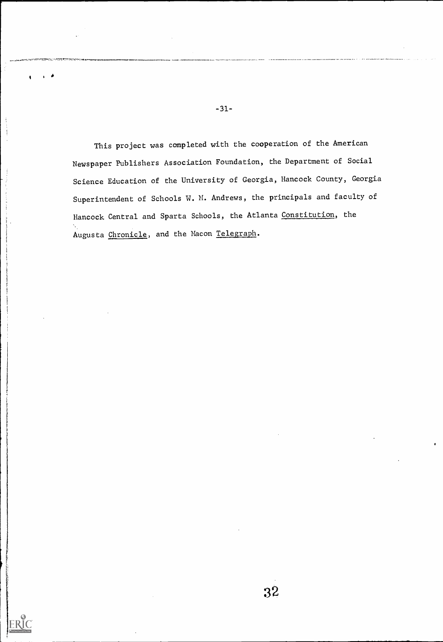This project was completed with the cooperation of the American Newspaper Publishers Association Foundation, the Department of Social Science Education of the University of Georgia, Hancock County, Georgia Superintendent of Schools W. M. Andrews, the principals and faculty of Hancock Central and Sparta Schools, the Atlanta Constitution, the Augusta Chronicle, and the Macon Telegraph.

I 40